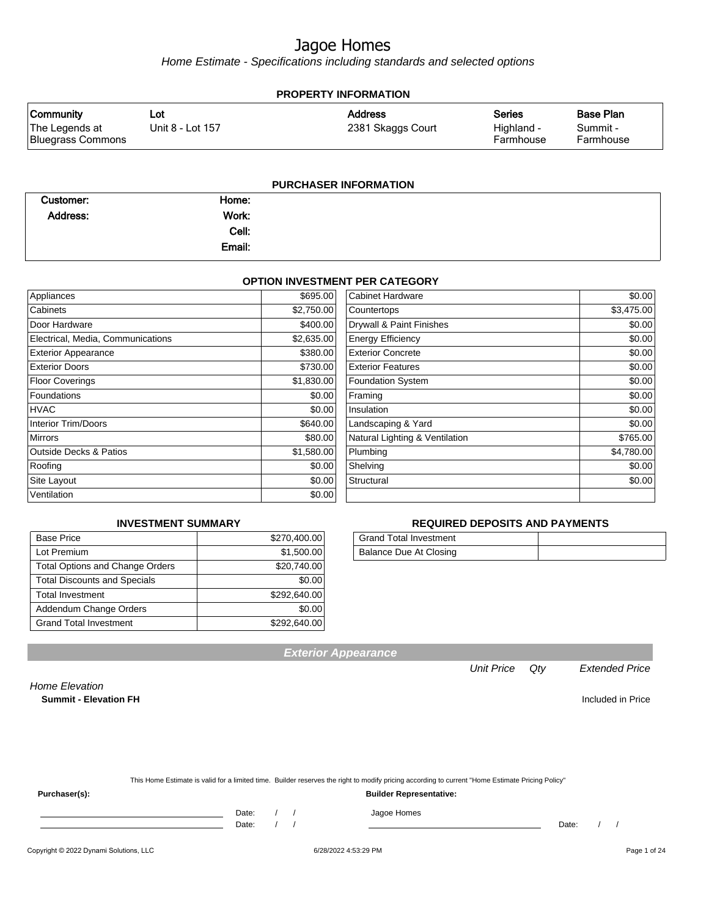Home Estimate - Specifications including standards and selected options

| <b>PROPERTY INFORMATION</b>                             |                         |                                     |                                          |                                           |  |  |
|---------------------------------------------------------|-------------------------|-------------------------------------|------------------------------------------|-------------------------------------------|--|--|
| <b>Community</b><br>The Legends at<br>Bluegrass Commons | Lot<br>Unit 8 - Lot 157 | <b>Address</b><br>2381 Skaggs Court | <b>Series</b><br>Highland -<br>Farmhouse | <b>Base Plan</b><br>Summit -<br>Farmhouse |  |  |
|                                                         |                         |                                     |                                          |                                           |  |  |

| Customer:       | Home:  |  |
|-----------------|--------|--|
| <b>Address:</b> | Work:  |  |
|                 | Cell:  |  |
|                 | Email: |  |

#### **OPTION INVESTMENT PER CATEGORY**

| Appliances                        | \$695.00   | <b>Cabinet Hardware</b>        | \$0.00     |
|-----------------------------------|------------|--------------------------------|------------|
| Cabinets                          | \$2,750.00 | Countertops                    | \$3,475.00 |
| Door Hardware                     | \$400.00   | Drywall & Paint Finishes       | \$0.00     |
| Electrical, Media, Communications | \$2,635.00 | <b>Energy Efficiency</b>       | \$0.00     |
| <b>Exterior Appearance</b>        | \$380.00   | <b>Exterior Concrete</b>       | \$0.00     |
| <b>Exterior Doors</b>             | \$730.00   | <b>Exterior Features</b>       | \$0.00     |
| <b>Floor Coverings</b>            | \$1,830.00 | <b>Foundation System</b>       | \$0.00     |
| Foundations                       | \$0.00     | Framing                        | \$0.00     |
| <b>HVAC</b>                       | \$0.00     | Insulation                     | \$0.00     |
| <b>Interior Trim/Doors</b>        | \$640.00   | Landscaping & Yard             | \$0.00     |
| <b>Mirrors</b>                    | \$80.00    | Natural Lighting & Ventilation | \$765.00   |
| <b>Outside Decks &amp; Patios</b> | \$1,580.00 | Plumbing                       | \$4,780.00 |
| Roofing                           | \$0.00     | Shelving                       | \$0.00     |
| Site Layout                       | \$0.00     | Structural                     | \$0.00     |
| Ventilation                       | \$0.00     |                                |            |
|                                   |            |                                |            |

#### **INVESTMENT SUMMARY**

| <b>Base Price</b>                      | \$270,400.00 |
|----------------------------------------|--------------|
| Lot Premium                            | \$1,500.00   |
| <b>Total Options and Change Orders</b> | \$20,740.00  |
| <b>Total Discounts and Specials</b>    | \$0.00       |
| <b>Total Investment</b>                | \$292.640.00 |
| Addendum Change Orders                 | \$0.00       |
| <b>Grand Total Investment</b>          | \$292,640.00 |

#### **REQUIRED DEPOSITS AND PAYMENTS**

| <b>Grand Total Investment</b> |  |
|-------------------------------|--|
| Balance Due At Closing        |  |

**Exterior Appearance**

#### Unit Price Qty Extended Price

Home Elevation **Summit - Elevation FH** Included in Price

| This Home Estimate is valid for a limited time. Builder reserves the right to modify pricing according to current "Home Estimate Pricing Policy" |  |
|--------------------------------------------------------------------------------------------------------------------------------------------------|--|
|                                                                                                                                                  |  |

**Purchaser(s): Builder Representative:**

Date: / / Jagoe Homes

Date: / / Date: / /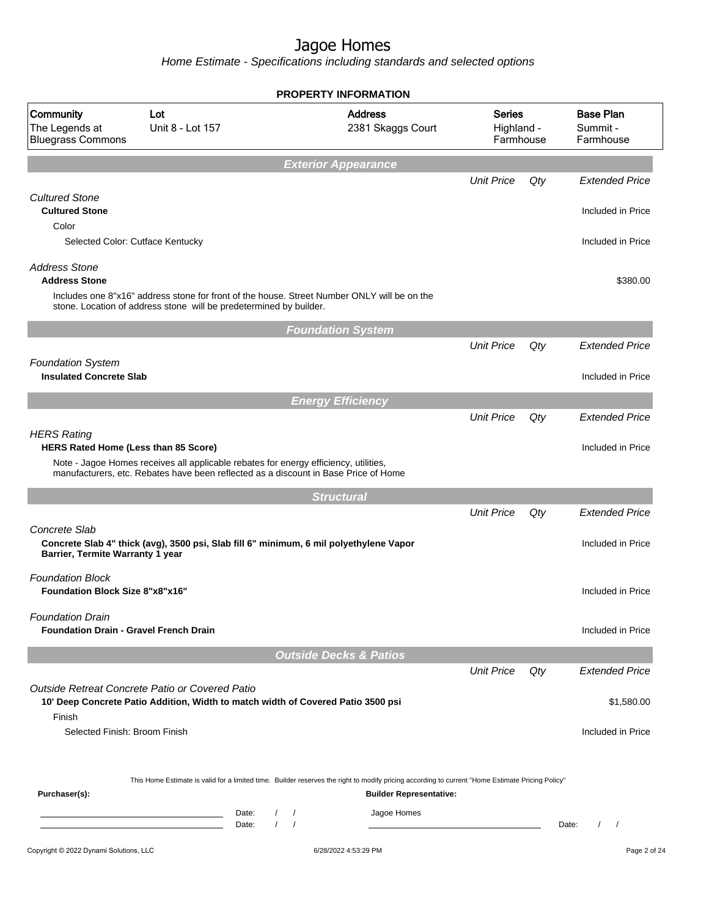|                                                                          |                                                                                                                                                                             |                                    | <b>PROPERTY INFORMATION</b>         |                                          |        |                                           |  |
|--------------------------------------------------------------------------|-----------------------------------------------------------------------------------------------------------------------------------------------------------------------------|------------------------------------|-------------------------------------|------------------------------------------|--------|-------------------------------------------|--|
| Community<br>The Legends at<br><b>Bluegrass Commons</b>                  | Lot<br>Unit 8 - Lot 157                                                                                                                                                     |                                    | <b>Address</b><br>2381 Skaggs Court | <b>Series</b><br>Highland -<br>Farmhouse |        | <b>Base Plan</b><br>Summit -<br>Farmhouse |  |
|                                                                          |                                                                                                                                                                             |                                    | <b>Exterior Appearance</b>          |                                          |        |                                           |  |
|                                                                          |                                                                                                                                                                             |                                    |                                     | <b>Unit Price</b>                        | Qty    | <b>Extended Price</b>                     |  |
| <b>Cultured Stone</b><br><b>Cultured Stone</b>                           |                                                                                                                                                                             |                                    |                                     |                                          |        | Included in Price                         |  |
| Color<br>Selected Color: Cutface Kentucky                                |                                                                                                                                                                             |                                    |                                     |                                          |        | Included in Price                         |  |
| <b>Address Stone</b><br><b>Address Stone</b>                             |                                                                                                                                                                             |                                    |                                     |                                          |        | \$380.00                                  |  |
|                                                                          | Includes one 8"x16" address stone for front of the house. Street Number ONLY will be on the<br>stone. Location of address stone will be predetermined by builder.           |                                    |                                     |                                          |        |                                           |  |
|                                                                          |                                                                                                                                                                             |                                    | <b>Foundation System</b>            |                                          |        |                                           |  |
|                                                                          |                                                                                                                                                                             |                                    |                                     | <b>Unit Price</b>                        | Qty    | <b>Extended Price</b>                     |  |
| <b>Foundation System</b><br><b>Insulated Concrete Slab</b>               |                                                                                                                                                                             |                                    |                                     |                                          |        | Included in Price                         |  |
|                                                                          |                                                                                                                                                                             |                                    | <b>Energy Efficiency</b>            |                                          |        |                                           |  |
|                                                                          |                                                                                                                                                                             |                                    |                                     | <b>Unit Price</b>                        | Qty    | <b>Extended Price</b>                     |  |
| <b>HERS Rating</b><br><b>HERS Rated Home (Less than 85 Score)</b>        | Note - Jagoe Homes receives all applicable rebates for energy efficiency, utilities,<br>manufacturers, etc. Rebates have been reflected as a discount in Base Price of Home |                                    |                                     |                                          |        | Included in Price                         |  |
|                                                                          |                                                                                                                                                                             |                                    | <b>Structural</b>                   |                                          |        |                                           |  |
|                                                                          |                                                                                                                                                                             |                                    |                                     | <b>Unit Price</b>                        | Qty    | <b>Extended Price</b>                     |  |
| Concrete Slab<br>Barrier, Termite Warranty 1 year                        | Concrete Slab 4" thick (avg), 3500 psi, Slab fill 6" minimum, 6 mil polyethylene Vapor                                                                                      |                                    |                                     |                                          |        | Included in Price                         |  |
| <b>Foundation Block</b><br><b>Foundation Block Size 8"x8"x16"</b>        |                                                                                                                                                                             |                                    |                                     |                                          |        | Included in Price                         |  |
| <b>Foundation Drain</b><br><b>Foundation Drain - Gravel French Drain</b> |                                                                                                                                                                             |                                    |                                     |                                          |        | Included in Price                         |  |
|                                                                          |                                                                                                                                                                             |                                    | <b>Outside Decks &amp; Patios</b>   |                                          |        |                                           |  |
|                                                                          |                                                                                                                                                                             |                                    |                                     | <b>Unit Price</b>                        | $Q$ ty | <b>Extended Price</b>                     |  |
|                                                                          | Outside Retreat Concrete Patio or Covered Patio<br>10' Deep Concrete Patio Addition, Width to match width of Covered Patio 3500 psi                                         |                                    |                                     |                                          |        | \$1,580.00                                |  |
| Finish<br>Selected Finish: Broom Finish                                  |                                                                                                                                                                             |                                    |                                     |                                          |        | Included in Price                         |  |
| Purchaser(s):                                                            | This Home Estimate is valid for a limited time. Builder reserves the right to modify pricing according to current "Home Estimate Pricing Policy"                            |                                    | <b>Builder Representative:</b>      |                                          |        |                                           |  |
|                                                                          | Date:<br>the control of the control of the control of<br>Date:                                                                                                              | $\sqrt{2}$<br>$\prime$<br>$\prime$ | Jagoe Homes                         |                                          |        | $\left  \right $<br>Date:                 |  |
| Copyright © 2022 Dynami Solutions, LLC                                   |                                                                                                                                                                             |                                    | 6/28/2022 4:53:29 PM                |                                          |        | Page 2 of 24                              |  |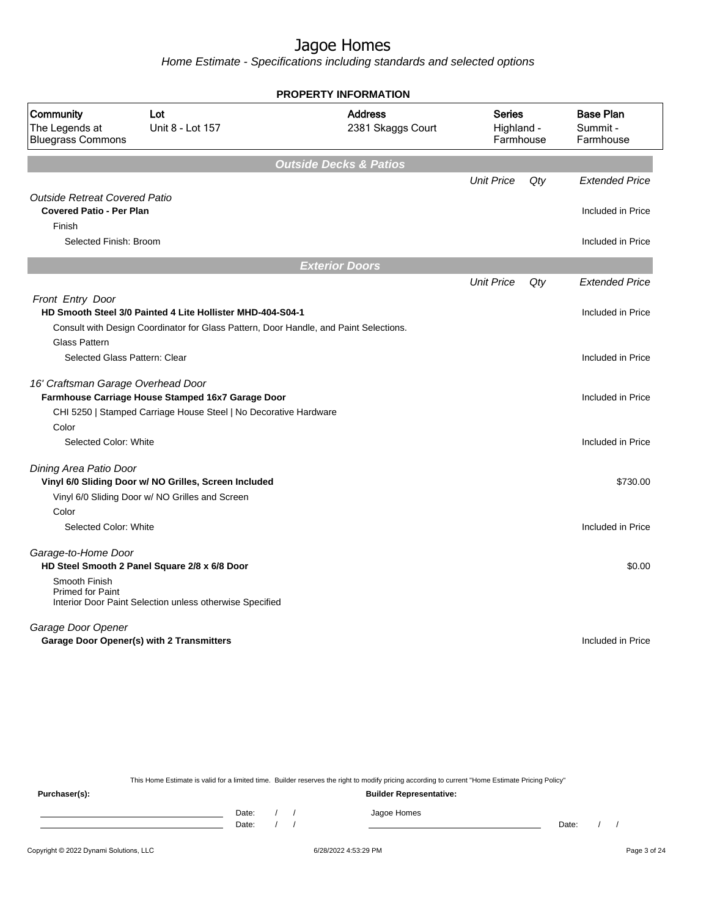Home Estimate - Specifications including standards and selected options

| <b>PROPERTY INFORMATION</b>                                     |                                                                                       |                                     |                                          |     |                                           |  |
|-----------------------------------------------------------------|---------------------------------------------------------------------------------------|-------------------------------------|------------------------------------------|-----|-------------------------------------------|--|
| Community<br>The Legends at<br><b>Bluegrass Commons</b>         | Lot<br>Unit 8 - Lot 157                                                               | <b>Address</b><br>2381 Skaggs Court | <b>Series</b><br>Highland -<br>Farmhouse |     | <b>Base Plan</b><br>Summit -<br>Farmhouse |  |
|                                                                 |                                                                                       | <b>Outside Decks &amp; Patios</b>   |                                          |     |                                           |  |
|                                                                 |                                                                                       |                                     | <b>Unit Price</b>                        | Qty | <b>Extended Price</b>                     |  |
| <b>Outside Retreat Covered Patio</b>                            |                                                                                       |                                     |                                          |     |                                           |  |
| <b>Covered Patio - Per Plan</b><br>Finish                       |                                                                                       |                                     |                                          |     | Included in Price                         |  |
| Selected Finish: Broom                                          |                                                                                       |                                     |                                          |     | Included in Price                         |  |
|                                                                 |                                                                                       | <b>Exterior Doors</b>               |                                          |     |                                           |  |
|                                                                 |                                                                                       |                                     | <b>Unit Price</b>                        | Qty | <b>Extended Price</b>                     |  |
| Front Entry Door                                                |                                                                                       |                                     |                                          |     |                                           |  |
|                                                                 | HD Smooth Steel 3/0 Painted 4 Lite Hollister MHD-404-S04-1                            |                                     |                                          |     | Included in Price                         |  |
|                                                                 | Consult with Design Coordinator for Glass Pattern, Door Handle, and Paint Selections. |                                     |                                          |     |                                           |  |
| <b>Glass Pattern</b>                                            |                                                                                       |                                     |                                          |     |                                           |  |
| Selected Glass Pattern: Clear                                   |                                                                                       |                                     |                                          |     | Included in Price                         |  |
| 16' Craftsman Garage Overhead Door                              |                                                                                       |                                     |                                          |     |                                           |  |
|                                                                 | Farmhouse Carriage House Stamped 16x7 Garage Door                                     |                                     |                                          |     | Included in Price                         |  |
|                                                                 | CHI 5250   Stamped Carriage House Steel   No Decorative Hardware                      |                                     |                                          |     |                                           |  |
| Color                                                           |                                                                                       |                                     |                                          |     |                                           |  |
| Selected Color: White                                           |                                                                                       |                                     |                                          |     | Included in Price                         |  |
| Dining Area Patio Door                                          |                                                                                       |                                     |                                          |     |                                           |  |
|                                                                 | Vinyl 6/0 Sliding Door w/ NO Grilles, Screen Included                                 |                                     |                                          |     | \$730.00                                  |  |
|                                                                 | Vinyl 6/0 Sliding Door w/ NO Grilles and Screen                                       |                                     |                                          |     |                                           |  |
| Color                                                           |                                                                                       |                                     |                                          |     |                                           |  |
| Selected Color: White                                           |                                                                                       |                                     |                                          |     | Included in Price                         |  |
| Garage-to-Home Door                                             |                                                                                       |                                     |                                          |     |                                           |  |
|                                                                 | HD Steel Smooth 2 Panel Square 2/8 x 6/8 Door                                         |                                     |                                          |     | \$0.00                                    |  |
| Smooth Finish<br><b>Primed for Paint</b>                        | Interior Door Paint Selection unless otherwise Specified                              |                                     |                                          |     |                                           |  |
| Garage Door Opener<br>Garage Door Opener(s) with 2 Transmitters |                                                                                       |                                     |                                          |     | Included in Price                         |  |

This Home Estimate is valid for a limited time. Builder reserves the right to modify pricing according to current "Home Estimate Pricing Policy"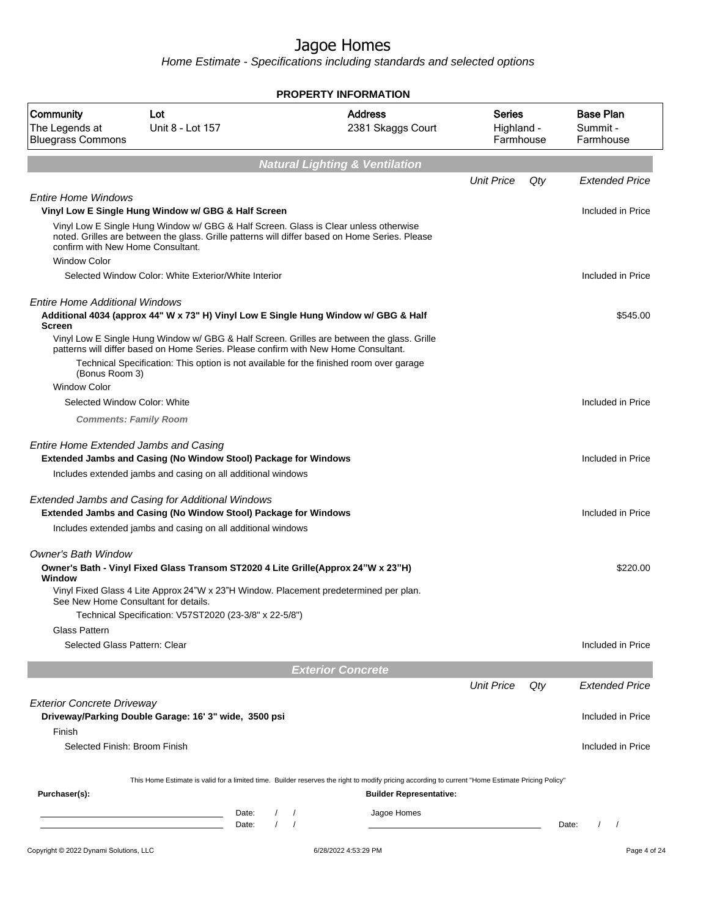|                                                          |                                                                                                                                                                                | <b>PROPERTY INFORMATION</b>                                                                                                                                                        |                                   |     |                                           |
|----------------------------------------------------------|--------------------------------------------------------------------------------------------------------------------------------------------------------------------------------|------------------------------------------------------------------------------------------------------------------------------------------------------------------------------------|-----------------------------------|-----|-------------------------------------------|
| Community<br>The Legends at<br><b>Bluegrass Commons</b>  | Lot<br>Unit 8 - Lot 157                                                                                                                                                        | <b>Address</b><br>2381 Skaggs Court                                                                                                                                                | Series<br>Highland -<br>Farmhouse |     | <b>Base Plan</b><br>Summit -<br>Farmhouse |
|                                                          |                                                                                                                                                                                | <b>Natural Lighting &amp; Ventilation</b>                                                                                                                                          |                                   |     |                                           |
|                                                          |                                                                                                                                                                                |                                                                                                                                                                                    | <b>Unit Price</b>                 | Qty | <b>Extended Price</b>                     |
| <b>Entire Home Windows</b>                               | Vinyl Low E Single Hung Window w/ GBG & Half Screen                                                                                                                            |                                                                                                                                                                                    |                                   |     | Included in Price                         |
| confirm with New Home Consultant.<br><b>Window Color</b> | Vinyl Low E Single Hung Window w/ GBG & Half Screen. Glass is Clear unless otherwise                                                                                           | noted. Grilles are between the glass. Grille patterns will differ based on Home Series. Please                                                                                     |                                   |     |                                           |
|                                                          | Selected Window Color: White Exterior/White Interior                                                                                                                           |                                                                                                                                                                                    |                                   |     | Included in Price                         |
| <b>Entire Home Additional Windows</b><br><b>Screen</b>   | Additional 4034 (approx 44" W x 73" H) Vinyl Low E Single Hung Window w/ GBG & Half                                                                                            |                                                                                                                                                                                    |                                   |     | \$545.00                                  |
| (Bonus Room 3)                                           | patterns will differ based on Home Series. Please confirm with New Home Consultant.<br>Technical Specification: This option is not available for the finished room over garage | Vinyl Low E Single Hung Window w/ GBG & Half Screen. Grilles are between the glass. Grille                                                                                         |                                   |     |                                           |
| <b>Window Color</b>                                      |                                                                                                                                                                                |                                                                                                                                                                                    |                                   |     |                                           |
| Selected Window Color: White                             |                                                                                                                                                                                |                                                                                                                                                                                    |                                   |     | Included in Price                         |
|                                                          | <b>Comments: Family Room</b>                                                                                                                                                   |                                                                                                                                                                                    |                                   |     |                                           |
| Entire Home Extended Jambs and Casing                    | Extended Jambs and Casing (No Window Stool) Package for Windows                                                                                                                |                                                                                                                                                                                    |                                   |     | Included in Price                         |
|                                                          | Includes extended jambs and casing on all additional windows                                                                                                                   |                                                                                                                                                                                    |                                   |     |                                           |
|                                                          | Extended Jambs and Casing for Additional Windows<br>Extended Jambs and Casing (No Window Stool) Package for Windows                                                            |                                                                                                                                                                                    |                                   |     | Included in Price                         |
|                                                          | Includes extended jambs and casing on all additional windows                                                                                                                   |                                                                                                                                                                                    |                                   |     |                                           |
| <b>Owner's Bath Window</b>                               |                                                                                                                                                                                |                                                                                                                                                                                    |                                   |     |                                           |
| Window                                                   | Owner's Bath - Vinyl Fixed Glass Transom ST2020 4 Lite Grille(Approx 24"W x 23"H)                                                                                              |                                                                                                                                                                                    |                                   |     | \$220.00                                  |
| See New Home Consultant for details.                     | Vinyl Fixed Glass 4 Lite Approx 24"W x 23"H Window. Placement predetermined per plan.                                                                                          |                                                                                                                                                                                    |                                   |     |                                           |
| Glass Pattern                                            | Technical Specification: V57ST2020 (23-3/8" x 22-5/8")                                                                                                                         |                                                                                                                                                                                    |                                   |     |                                           |
| Selected Glass Pattern: Clear                            |                                                                                                                                                                                |                                                                                                                                                                                    |                                   |     | Included in Price                         |
|                                                          |                                                                                                                                                                                | <b>Exterior Concrete</b>                                                                                                                                                           |                                   |     |                                           |
|                                                          |                                                                                                                                                                                |                                                                                                                                                                                    | <b>Unit Price</b>                 | Qty | <b>Extended Price</b>                     |
| <b>Exterior Concrete Driveway</b>                        |                                                                                                                                                                                |                                                                                                                                                                                    |                                   |     |                                           |
| Finish                                                   | Driveway/Parking Double Garage: 16' 3" wide, 3500 psi                                                                                                                          |                                                                                                                                                                                    |                                   |     | Included in Price                         |
| Selected Finish: Broom Finish                            |                                                                                                                                                                                |                                                                                                                                                                                    |                                   |     | Included in Price                         |
|                                                          |                                                                                                                                                                                |                                                                                                                                                                                    |                                   |     |                                           |
| Purchaser(s):                                            |                                                                                                                                                                                | This Home Estimate is valid for a limited time. Builder reserves the right to modify pricing according to current "Home Estimate Pricing Policy"<br><b>Builder Representative:</b> |                                   |     |                                           |
|                                                          | Date:<br>the control of the control of the control of the control of<br>Date:<br>the control of the control of the control of the control of                                   | Jagoe Homes                                                                                                                                                                        |                                   |     | Date:<br>$\prime$<br>$\prime$             |
| Copyright © 2022 Dynami Solutions, LLC                   |                                                                                                                                                                                | 6/28/2022 4:53:29 PM                                                                                                                                                               |                                   |     | Page 4 of 24                              |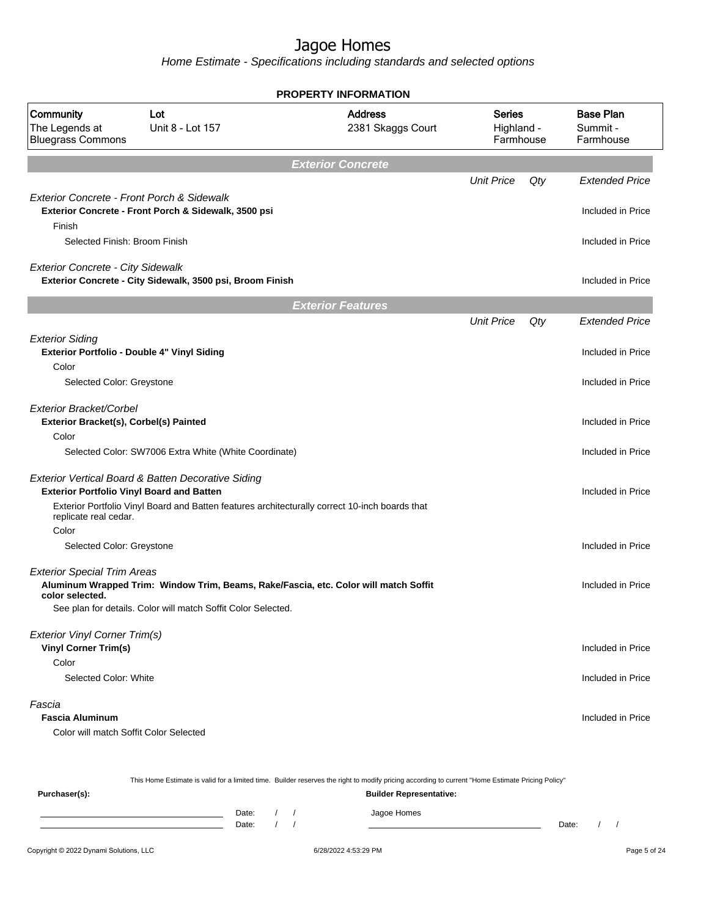Home Estimate - Specifications including standards and selected options

| <b>PROPERTY INFORMATION</b>                                           |                                                               |                                                                                                |                                          |     |                                           |
|-----------------------------------------------------------------------|---------------------------------------------------------------|------------------------------------------------------------------------------------------------|------------------------------------------|-----|-------------------------------------------|
| Community<br>The Legends at<br><b>Bluegrass Commons</b>               | Lot<br>Unit 8 - Lot 157                                       | <b>Address</b><br>2381 Skaggs Court                                                            | <b>Series</b><br>Highland -<br>Farmhouse |     | <b>Base Plan</b><br>Summit -<br>Farmhouse |
|                                                                       |                                                               | <b>Exterior Concrete</b>                                                                       |                                          |     |                                           |
|                                                                       |                                                               |                                                                                                | <b>Unit Price</b>                        | Qty | <b>Extended Price</b>                     |
| Exterior Concrete - Front Porch & Sidewalk<br>Finish                  | Exterior Concrete - Front Porch & Sidewalk, 3500 psi          |                                                                                                |                                          |     | Included in Price                         |
| Selected Finish: Broom Finish                                         |                                                               |                                                                                                |                                          |     | Included in Price                         |
| <b>Exterior Concrete - City Sidewalk</b>                              | Exterior Concrete - City Sidewalk, 3500 psi, Broom Finish     |                                                                                                |                                          |     | Included in Price                         |
|                                                                       |                                                               | <b>Exterior Features</b>                                                                       |                                          |     |                                           |
|                                                                       |                                                               |                                                                                                | <b>Unit Price</b>                        | Qty | <b>Extended Price</b>                     |
| <b>Exterior Siding</b><br>Exterior Portfolio - Double 4" Vinyl Siding |                                                               |                                                                                                |                                          |     | Included in Price                         |
| Color<br>Selected Color: Greystone                                    |                                                               |                                                                                                |                                          |     | Included in Price                         |
| Exterior Bracket/Corbel<br>Exterior Bracket(s), Corbel(s) Painted     |                                                               |                                                                                                |                                          |     | Included in Price                         |
| Color                                                                 | Selected Color: SW7006 Extra White (White Coordinate)         |                                                                                                |                                          |     | Included in Price                         |
| <b>Exterior Portfolio Vinyl Board and Batten</b>                      | Exterior Vertical Board & Batten Decorative Siding            |                                                                                                |                                          |     | Included in Price                         |
| replicate real cedar.                                                 |                                                               | Exterior Portfolio Vinyl Board and Batten features architecturally correct 10-inch boards that |                                          |     |                                           |
| Color<br>Selected Color: Greystone                                    |                                                               |                                                                                                |                                          |     | Included in Price                         |
| <b>Exterior Special Trim Areas</b><br>color selected.                 | See plan for details. Color will match Soffit Color Selected. | Aluminum Wrapped Trim: Window Trim, Beams, Rake/Fascia, etc. Color will match Soffit           |                                          |     | Included in Price                         |
|                                                                       |                                                               |                                                                                                |                                          |     |                                           |
| <b>Exterior Vinyl Corner Trim(s)</b><br><b>Vinyl Corner Trim(s)</b>   |                                                               |                                                                                                |                                          |     | Included in Price                         |
| Color<br>Selected Color: White                                        |                                                               |                                                                                                |                                          |     | Included in Price                         |
| Fascia<br><b>Fascia Aluminum</b>                                      |                                                               |                                                                                                |                                          |     | Included in Price                         |
| Color will match Soffit Color Selected                                |                                                               |                                                                                                |                                          |     |                                           |
|                                                                       |                                                               |                                                                                                |                                          |     |                                           |

This Home Estimate is valid for a limited time. Builder reserves the right to modify pricing according to current "Home Estimate Pricing Policy"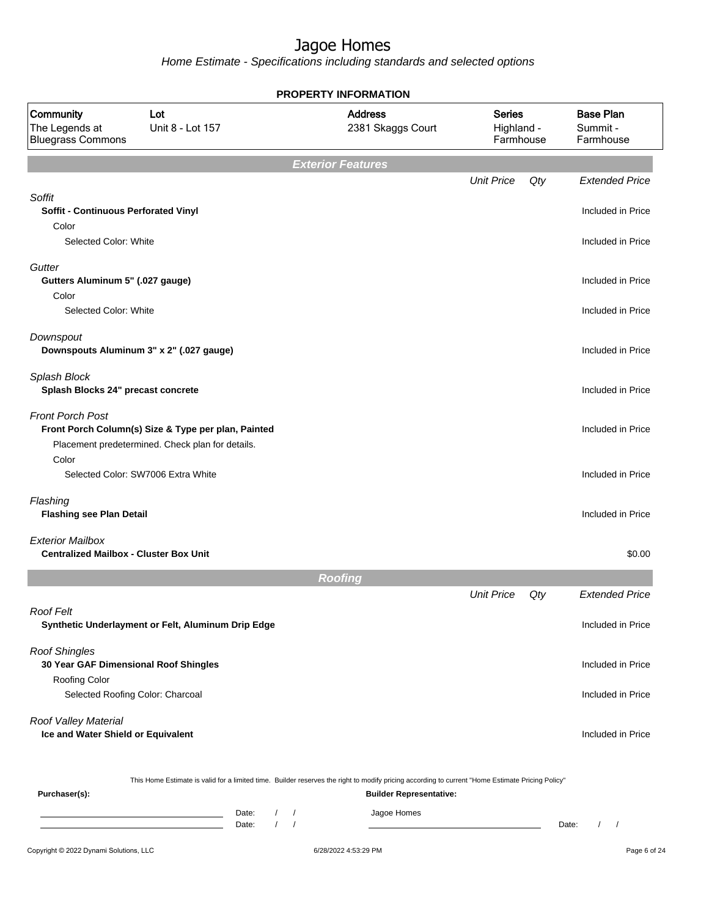Home Estimate - Specifications including standards and selected options

|                                                                          |                                                                                                                                                  | <b>PROPERTY INFORMATION</b>         |                                          |     |                                           |
|--------------------------------------------------------------------------|--------------------------------------------------------------------------------------------------------------------------------------------------|-------------------------------------|------------------------------------------|-----|-------------------------------------------|
| Community<br>The Legends at<br><b>Bluegrass Commons</b>                  | Lot<br>Unit 8 - Lot 157                                                                                                                          | <b>Address</b><br>2381 Skaggs Court | <b>Series</b><br>Highland -<br>Farmhouse |     | <b>Base Plan</b><br>Summit -<br>Farmhouse |
|                                                                          |                                                                                                                                                  | <b>Exterior Features</b>            |                                          |     |                                           |
|                                                                          |                                                                                                                                                  |                                     | <b>Unit Price</b>                        | Qty | <b>Extended Price</b>                     |
| Soffit<br><b>Soffit - Continuous Perforated Vinyl</b>                    |                                                                                                                                                  |                                     |                                          |     | Included in Price                         |
| Color<br>Selected Color: White                                           |                                                                                                                                                  |                                     |                                          |     | Included in Price                         |
| Gutter<br>Gutters Aluminum 5" (.027 gauge)<br>Color                      |                                                                                                                                                  |                                     |                                          |     | Included in Price                         |
| Selected Color: White                                                    |                                                                                                                                                  |                                     |                                          |     | Included in Price                         |
| Downspout                                                                | Downspouts Aluminum 3" x 2" (.027 gauge)                                                                                                         |                                     |                                          |     | Included in Price                         |
| Splash Block<br>Splash Blocks 24" precast concrete                       |                                                                                                                                                  |                                     |                                          |     | Included in Price                         |
| <b>Front Porch Post</b>                                                  | Front Porch Column(s) Size & Type per plan, Painted<br>Placement predetermined. Check plan for details.                                          |                                     |                                          |     | Included in Price                         |
| Color                                                                    | Selected Color: SW7006 Extra White                                                                                                               |                                     |                                          |     | Included in Price                         |
| Flashing<br><b>Flashing see Plan Detail</b>                              |                                                                                                                                                  |                                     |                                          |     | Included in Price                         |
| <b>Exterior Mailbox</b><br><b>Centralized Mailbox - Cluster Box Unit</b> |                                                                                                                                                  |                                     |                                          |     | \$0.00                                    |
|                                                                          |                                                                                                                                                  | <b>Roofing</b>                      |                                          |     |                                           |
|                                                                          |                                                                                                                                                  |                                     | <b>Unit Price</b>                        | Qty | <b>Extended Price</b>                     |
| <b>Roof Felt</b>                                                         | Synthetic Underlayment or Felt, Aluminum Drip Edge                                                                                               |                                     |                                          |     | Included in Price                         |
| <b>Roof Shingles</b><br>30 Year GAF Dimensional Roof Shingles            |                                                                                                                                                  |                                     |                                          |     | Included in Price                         |
| <b>Roofing Color</b>                                                     | Selected Roofing Color: Charcoal                                                                                                                 |                                     |                                          |     | Included in Price                         |
| Roof Valley Material<br>Ice and Water Shield or Equivalent               |                                                                                                                                                  |                                     |                                          |     | Included in Price                         |
|                                                                          | This Home Estimate is valid for a limited time. Builder reserves the right to modify pricing according to current "Home Estimate Pricing Policy" |                                     |                                          |     |                                           |
| Purchaser(s):                                                            |                                                                                                                                                  | <b>Builder Representative:</b>      |                                          |     |                                           |

Date: / / Jagoe Homes<br>Date: / / Jagoe Homes Date: / / **Date: / / 2006** Date: / / **Date: / / / 2006** Date: / / / 2006 Date: / / / 2006 Date: / / / 2006 Date: / / / 2007 Date: / / / 2007 Date: / / / 2008 Date: / / / 2008 Date: / / / 2008 Date: / / / 2008 Date: / / / 2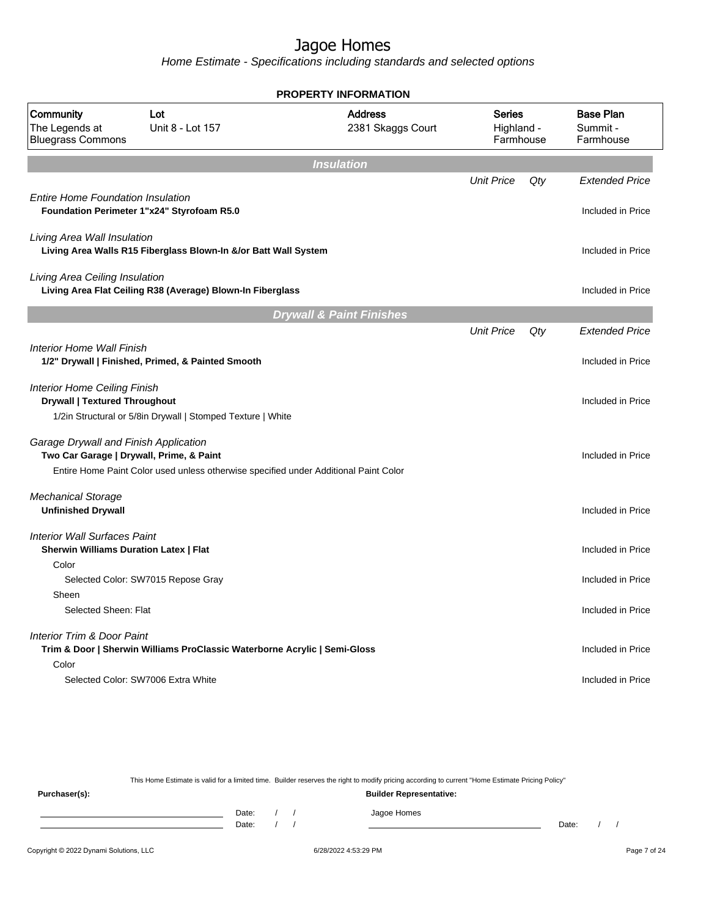Home Estimate - Specifications including standards and selected options

|                                                                                        |                                                                           | <b>PROPERTY INFORMATION</b>                                                          |                                          |     |                                           |
|----------------------------------------------------------------------------------------|---------------------------------------------------------------------------|--------------------------------------------------------------------------------------|------------------------------------------|-----|-------------------------------------------|
| Community<br>The Legends at<br><b>Bluegrass Commons</b>                                | Lot<br>Unit 8 - Lot 157                                                   | <b>Address</b><br>2381 Skaggs Court                                                  | <b>Series</b><br>Highland -<br>Farmhouse |     | <b>Base Plan</b><br>Summit -<br>Farmhouse |
|                                                                                        |                                                                           | <b>Insulation</b>                                                                    |                                          |     |                                           |
|                                                                                        |                                                                           |                                                                                      | <b>Unit Price</b>                        | Qty | <b>Extended Price</b>                     |
| <b>Entire Home Foundation Insulation</b><br>Foundation Perimeter 1"x24" Styrofoam R5.0 |                                                                           |                                                                                      |                                          |     | Included in Price                         |
| Living Area Wall Insulation                                                            | Living Area Walls R15 Fiberglass Blown-In &/or Batt Wall System           |                                                                                      |                                          |     | Included in Price                         |
| Living Area Ceiling Insulation                                                         | Living Area Flat Ceiling R38 (Average) Blown-In Fiberglass                |                                                                                      |                                          |     | Included in Price                         |
|                                                                                        |                                                                           | <b>Drywall &amp; Paint Finishes</b>                                                  |                                          |     |                                           |
|                                                                                        |                                                                           |                                                                                      | <b>Unit Price</b>                        | Qty | <b>Extended Price</b>                     |
| Interior Home Wall Finish                                                              | 1/2" Drywall   Finished, Primed, & Painted Smooth                         |                                                                                      |                                          |     | Included in Price                         |
| <b>Interior Home Ceiling Finish</b><br><b>Drywall   Textured Throughout</b>            |                                                                           |                                                                                      |                                          |     | Included in Price                         |
|                                                                                        | 1/2in Structural or 5/8in Drywall   Stomped Texture   White               |                                                                                      |                                          |     |                                           |
| Garage Drywall and Finish Application<br>Two Car Garage   Drywall, Prime, & Paint      |                                                                           |                                                                                      |                                          |     | Included in Price                         |
|                                                                                        |                                                                           | Entire Home Paint Color used unless otherwise specified under Additional Paint Color |                                          |     |                                           |
| <b>Mechanical Storage</b><br><b>Unfinished Drywall</b>                                 |                                                                           |                                                                                      |                                          |     | Included in Price                         |
| <b>Interior Wall Surfaces Paint</b><br><b>Sherwin Williams Duration Latex   Flat</b>   |                                                                           |                                                                                      |                                          |     | Included in Price                         |
| Color                                                                                  | Selected Color: SW7015 Repose Gray                                        |                                                                                      |                                          |     | Included in Price                         |
| Sheen                                                                                  |                                                                           |                                                                                      |                                          |     |                                           |
| Selected Sheen: Flat                                                                   |                                                                           |                                                                                      |                                          |     | Included in Price                         |
| <b>Interior Trim &amp; Door Paint</b>                                                  | Trim & Door   Sherwin Williams ProClassic Waterborne Acrylic   Semi-Gloss |                                                                                      |                                          |     | Included in Price                         |
| Color                                                                                  |                                                                           |                                                                                      |                                          |     |                                           |
| Selected Color: SW7006 Extra White                                                     |                                                                           |                                                                                      |                                          |     | Included in Price                         |

This Home Estimate is valid for a limited time. Builder reserves the right to modify pricing according to current "Home Estimate Pricing Policy"

**Purchaser(s): Builder Representative:** Date: / / Jagoe Homes<br>Date: / / Jagoe Homes Date: / / **Date: / / 2006** Date: / / / Date: / / / Date: / / / 2006 Date: / / / 2006 Date: / / / 2006 Date: / / / 2006 Date: / / / 2007 Date: / / / 2007 Date: / / / 2007 Date: / / / 2007 Date: / / / 2007 Date: / / / 2007 D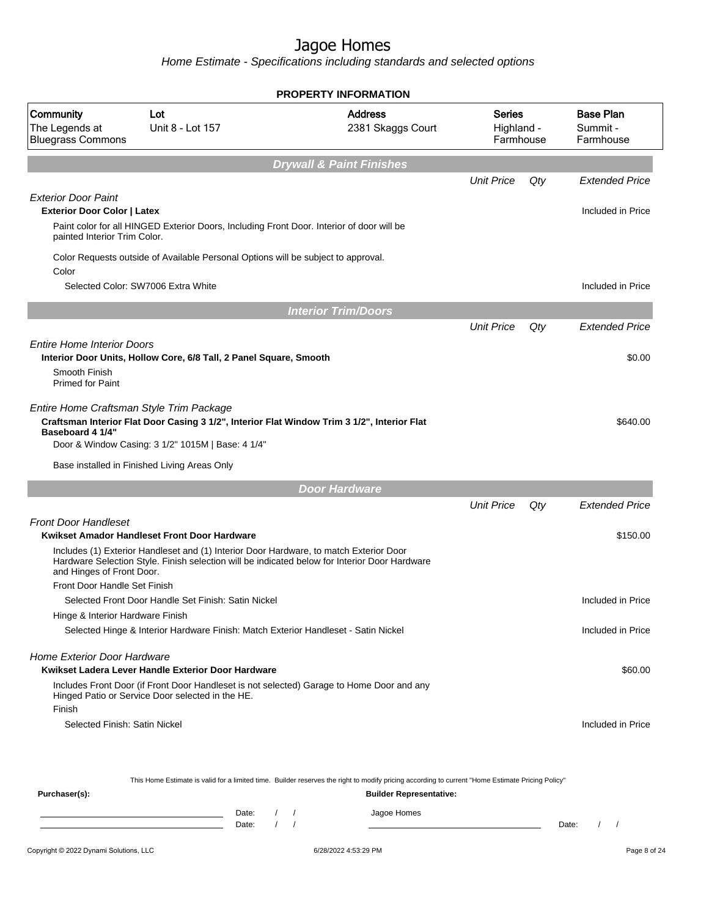Home Estimate - Specifications including standards and selected options

|                                                                                                  |                                                                                                                                                  | <b>PROPERTY INFORMATION</b>                                                                                                                      |                                   |     |                                           |
|--------------------------------------------------------------------------------------------------|--------------------------------------------------------------------------------------------------------------------------------------------------|--------------------------------------------------------------------------------------------------------------------------------------------------|-----------------------------------|-----|-------------------------------------------|
| Community<br>The Legends at<br><b>Bluegrass Commons</b>                                          | Lot<br>Unit 8 - Lot 157                                                                                                                          | <b>Address</b><br>2381 Skaggs Court                                                                                                              | Series<br>Highland -<br>Farmhouse |     | <b>Base Plan</b><br>Summit -<br>Farmhouse |
|                                                                                                  |                                                                                                                                                  | <b>Drywall &amp; Paint Finishes</b>                                                                                                              |                                   |     |                                           |
|                                                                                                  |                                                                                                                                                  |                                                                                                                                                  | <b>Unit Price</b>                 | Qty | <b>Extended Price</b>                     |
| <b>Exterior Door Paint</b><br><b>Exterior Door Color   Latex</b><br>painted Interior Trim Color. | Paint color for all HINGED Exterior Doors, Including Front Door. Interior of door will be                                                        |                                                                                                                                                  |                                   |     | Included in Price                         |
| Color                                                                                            | Color Requests outside of Available Personal Options will be subject to approval.                                                                |                                                                                                                                                  |                                   |     |                                           |
|                                                                                                  | Selected Color: SW7006 Extra White                                                                                                               |                                                                                                                                                  |                                   |     | Included in Price                         |
|                                                                                                  |                                                                                                                                                  | <b>Interior Trim/Doors</b>                                                                                                                       |                                   |     |                                           |
|                                                                                                  |                                                                                                                                                  |                                                                                                                                                  | <b>Unit Price</b>                 | Qty | <b>Extended Price</b>                     |
| <b>Entire Home Interior Doors</b><br>Smooth Finish<br><b>Primed for Paint</b>                    | Interior Door Units, Hollow Core, 6/8 Tall, 2 Panel Square, Smooth                                                                               |                                                                                                                                                  |                                   |     | \$0.00                                    |
| Entire Home Craftsman Style Trim Package<br><b>Baseboard 4 1/4"</b>                              | Craftsman Interior Flat Door Casing 3 1/2", Interior Flat Window Trim 3 1/2", Interior Flat<br>Door & Window Casing: 3 1/2" 1015M   Base: 4 1/4" |                                                                                                                                                  |                                   |     | \$640.00                                  |
|                                                                                                  | Base installed in Finished Living Areas Only                                                                                                     |                                                                                                                                                  |                                   |     |                                           |
|                                                                                                  |                                                                                                                                                  | <b>Door Hardware</b>                                                                                                                             |                                   |     |                                           |
|                                                                                                  |                                                                                                                                                  |                                                                                                                                                  | <b>Unit Price</b>                 | Qty | <b>Extended Price</b>                     |
| <b>Front Door Handleset</b>                                                                      | Kwikset Amador Handleset Front Door Hardware                                                                                                     |                                                                                                                                                  |                                   |     | \$150.00                                  |
| and Hinges of Front Door.                                                                        | Includes (1) Exterior Handleset and (1) Interior Door Hardware, to match Exterior Door                                                           | Hardware Selection Style. Finish selection will be indicated below for Interior Door Hardware                                                    |                                   |     |                                           |
| Front Door Handle Set Finish                                                                     |                                                                                                                                                  |                                                                                                                                                  |                                   |     |                                           |
|                                                                                                  | Selected Front Door Handle Set Finish: Satin Nickel                                                                                              |                                                                                                                                                  |                                   |     | Included in Price                         |
| Hinge & Interior Hardware Finish                                                                 |                                                                                                                                                  |                                                                                                                                                  |                                   |     |                                           |
|                                                                                                  | Selected Hinge & Interior Hardware Finish: Match Exterior Handleset - Satin Nickel                                                               |                                                                                                                                                  |                                   |     | Included in Price                         |
| <b>Home Exterior Door Hardware</b>                                                               | Kwikset Ladera Lever Handle Exterior Door Hardware                                                                                               |                                                                                                                                                  |                                   |     | \$60.00                                   |
| Finish                                                                                           | Hinged Patio or Service Door selected in the HE.                                                                                                 | Includes Front Door (if Front Door Handleset is not selected) Garage to Home Door and any                                                        |                                   |     |                                           |
| Selected Finish: Satin Nickel                                                                    |                                                                                                                                                  |                                                                                                                                                  |                                   |     | Included in Price                         |
|                                                                                                  |                                                                                                                                                  | This Home Estimate is valid for a limited time. Builder reserves the right to modify pricing according to current "Home Estimate Pricing Policy" |                                   |     |                                           |
| Purchaser(s):                                                                                    |                                                                                                                                                  | <b>Builder Representative:</b>                                                                                                                   |                                   |     |                                           |

Date: / / Jagoe Homes<br>Date: / / Jagoe Homes Date: / / Date: / /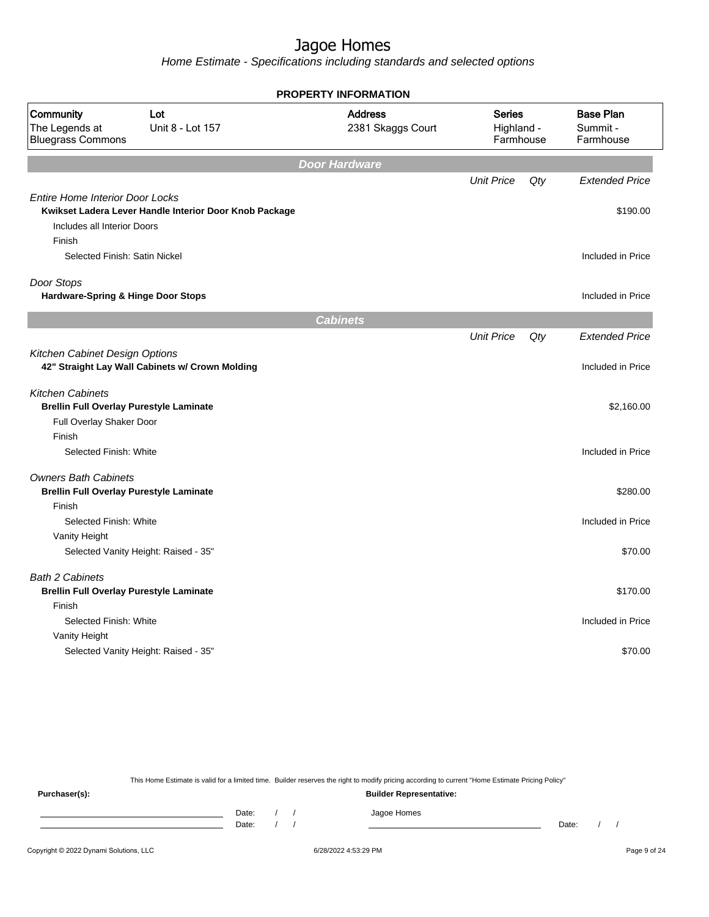Home Estimate - Specifications including standards and selected options

|                                                                                 |                                                        | <b>PROPERTY INFORMATION</b>         |                                          |     |                                            |
|---------------------------------------------------------------------------------|--------------------------------------------------------|-------------------------------------|------------------------------------------|-----|--------------------------------------------|
| Community<br>The Legends at<br><b>Bluegrass Commons</b>                         | Lot<br>Unit 8 - Lot 157                                | <b>Address</b><br>2381 Skaggs Court | <b>Series</b><br>Highland -<br>Farmhouse |     | <b>Base Plan</b><br>Summit -<br>Farmhouse  |
|                                                                                 |                                                        | <b>Door Hardware</b>                |                                          |     |                                            |
|                                                                                 |                                                        |                                     | <b>Unit Price</b>                        | Qty | <b>Extended Price</b>                      |
| <b>Entire Home Interior Door Locks</b><br>Includes all Interior Doors<br>Finish | Kwikset Ladera Lever Handle Interior Door Knob Package |                                     |                                          |     | \$190.00                                   |
| Selected Finish: Satin Nickel                                                   |                                                        |                                     |                                          |     | Included in Price                          |
|                                                                                 |                                                        |                                     |                                          |     |                                            |
| Door Stops<br>Hardware-Spring & Hinge Door Stops                                |                                                        |                                     |                                          |     | Included in Price                          |
|                                                                                 |                                                        |                                     |                                          |     |                                            |
|                                                                                 |                                                        | <b>Cabinets</b>                     |                                          |     |                                            |
| Kitchen Cabinet Design Options                                                  | 42" Straight Lay Wall Cabinets w/ Crown Molding        |                                     | <b>Unit Price</b>                        | Qty | <b>Extended Price</b><br>Included in Price |
| <b>Kitchen Cabinets</b><br><b>Brellin Full Overlay Purestyle Laminate</b>       |                                                        |                                     |                                          |     | \$2,160.00                                 |
| Full Overlay Shaker Door                                                        |                                                        |                                     |                                          |     |                                            |
| Finish                                                                          |                                                        |                                     |                                          |     |                                            |
| Selected Finish: White                                                          |                                                        |                                     |                                          |     | Included in Price                          |
| <b>Owners Bath Cabinets</b><br><b>Brellin Full Overlay Purestyle Laminate</b>   |                                                        |                                     |                                          |     | \$280.00                                   |
| Finish                                                                          |                                                        |                                     |                                          |     |                                            |
| Selected Finish: White                                                          |                                                        |                                     |                                          |     | Included in Price                          |
| Vanity Height                                                                   |                                                        |                                     |                                          |     |                                            |
|                                                                                 | Selected Vanity Height: Raised - 35"                   |                                     |                                          |     | \$70.00                                    |
| <b>Bath 2 Cabinets</b><br><b>Brellin Full Overlay Purestyle Laminate</b>        |                                                        |                                     |                                          |     | \$170.00                                   |
| Finish                                                                          |                                                        |                                     |                                          |     |                                            |
| Selected Finish: White                                                          |                                                        |                                     |                                          |     | Included in Price                          |
| Vanity Height                                                                   | Selected Vanity Height: Raised - 35"                   |                                     |                                          |     | \$70.00                                    |
|                                                                                 |                                                        |                                     |                                          |     |                                            |

This Home Estimate is valid for a limited time. Builder reserves the right to modify pricing according to current "Home Estimate Pricing Policy"

**Purchaser(s): Builder Representative:** Date: / / Jagoe Homes<br>Date: / / Jagoe Homes Date: / / **Date: / / 2006** Date: / / / Date: / / / Date: / / / 2006 Date: / / / 2006 Date: / / / 2006 Date: / / / 2006 Date: / / / 2007 Date: / / / 2007 Date: / / / 2007 Date: / / / 2007 Date: / / / 2007 Date: / / / 2007 D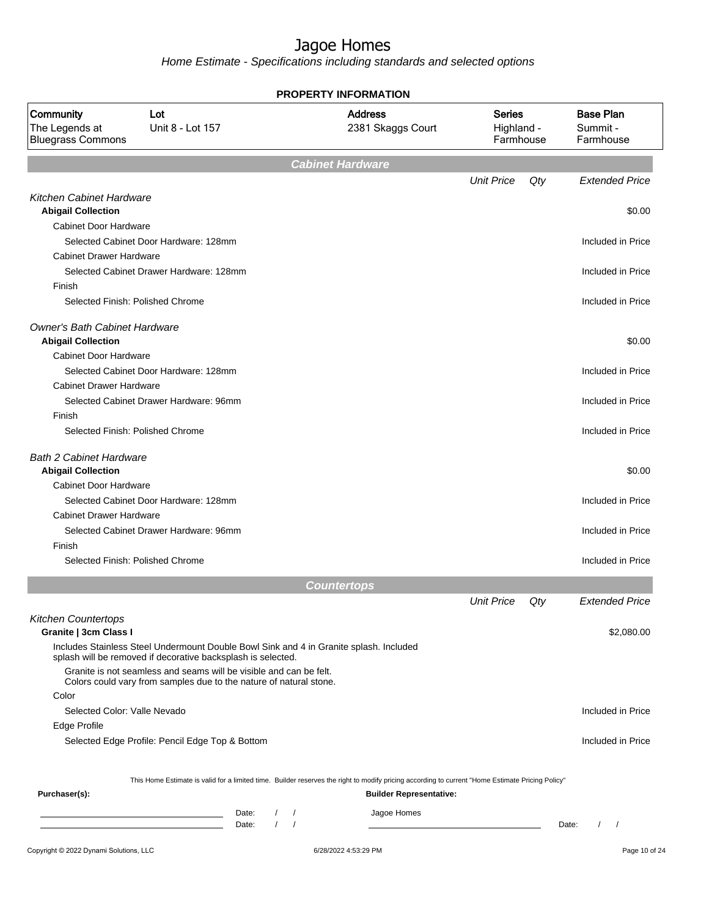|                                                              |                                                                                                                                                        |                |                                 | <b>PROPERTY INFORMATION</b>                                                                                                                                                        |                                          |     |                                           |
|--------------------------------------------------------------|--------------------------------------------------------------------------------------------------------------------------------------------------------|----------------|---------------------------------|------------------------------------------------------------------------------------------------------------------------------------------------------------------------------------|------------------------------------------|-----|-------------------------------------------|
| Community<br>The Legends at<br><b>Bluegrass Commons</b>      | Lot<br>Unit 8 - Lot 157                                                                                                                                |                |                                 | <b>Address</b><br>2381 Skaggs Court                                                                                                                                                | <b>Series</b><br>Highland -<br>Farmhouse |     | <b>Base Plan</b><br>Summit -<br>Farmhouse |
|                                                              |                                                                                                                                                        |                |                                 | <b>Cabinet Hardware</b>                                                                                                                                                            |                                          |     |                                           |
|                                                              |                                                                                                                                                        |                |                                 |                                                                                                                                                                                    | <b>Unit Price</b>                        | Qty | <b>Extended Price</b>                     |
| <b>Kitchen Cabinet Hardware</b><br><b>Abigail Collection</b> |                                                                                                                                                        |                |                                 |                                                                                                                                                                                    |                                          |     | \$0.00                                    |
| <b>Cabinet Door Hardware</b>                                 |                                                                                                                                                        |                |                                 |                                                                                                                                                                                    |                                          |     |                                           |
|                                                              | Selected Cabinet Door Hardware: 128mm                                                                                                                  |                |                                 |                                                                                                                                                                                    |                                          |     | Included in Price                         |
| <b>Cabinet Drawer Hardware</b>                               |                                                                                                                                                        |                |                                 |                                                                                                                                                                                    |                                          |     |                                           |
|                                                              | Selected Cabinet Drawer Hardware: 128mm                                                                                                                |                |                                 |                                                                                                                                                                                    |                                          |     | Included in Price                         |
| Finish                                                       |                                                                                                                                                        |                |                                 |                                                                                                                                                                                    |                                          |     |                                           |
|                                                              | Selected Finish: Polished Chrome                                                                                                                       |                |                                 |                                                                                                                                                                                    |                                          |     | Included in Price                         |
| <b>Owner's Bath Cabinet Hardware</b>                         |                                                                                                                                                        |                |                                 |                                                                                                                                                                                    |                                          |     |                                           |
| <b>Abigail Collection</b>                                    |                                                                                                                                                        |                |                                 |                                                                                                                                                                                    |                                          |     | \$0.00                                    |
| <b>Cabinet Door Hardware</b>                                 |                                                                                                                                                        |                |                                 |                                                                                                                                                                                    |                                          |     |                                           |
|                                                              | Selected Cabinet Door Hardware: 128mm                                                                                                                  |                |                                 |                                                                                                                                                                                    |                                          |     | Included in Price                         |
| <b>Cabinet Drawer Hardware</b>                               |                                                                                                                                                        |                |                                 |                                                                                                                                                                                    |                                          |     |                                           |
|                                                              | Selected Cabinet Drawer Hardware: 96mm                                                                                                                 |                |                                 |                                                                                                                                                                                    |                                          |     | Included in Price                         |
| Finish                                                       |                                                                                                                                                        |                |                                 |                                                                                                                                                                                    |                                          |     |                                           |
|                                                              | Selected Finish: Polished Chrome                                                                                                                       |                |                                 |                                                                                                                                                                                    |                                          |     | Included in Price                         |
| <b>Bath 2 Cabinet Hardware</b><br><b>Abigail Collection</b>  |                                                                                                                                                        |                |                                 |                                                                                                                                                                                    |                                          |     | \$0.00                                    |
| Cabinet Door Hardware                                        |                                                                                                                                                        |                |                                 |                                                                                                                                                                                    |                                          |     |                                           |
|                                                              | Selected Cabinet Door Hardware: 128mm                                                                                                                  |                |                                 |                                                                                                                                                                                    |                                          |     | Included in Price                         |
| <b>Cabinet Drawer Hardware</b>                               |                                                                                                                                                        |                |                                 |                                                                                                                                                                                    |                                          |     |                                           |
|                                                              | Selected Cabinet Drawer Hardware: 96mm                                                                                                                 |                |                                 |                                                                                                                                                                                    |                                          |     | Included in Price                         |
| Finish                                                       |                                                                                                                                                        |                |                                 |                                                                                                                                                                                    |                                          |     |                                           |
|                                                              | Selected Finish: Polished Chrome                                                                                                                       |                |                                 |                                                                                                                                                                                    |                                          |     | Included in Price                         |
|                                                              |                                                                                                                                                        |                |                                 | <b>Countertops</b>                                                                                                                                                                 |                                          |     |                                           |
|                                                              |                                                                                                                                                        |                |                                 |                                                                                                                                                                                    | <b>Unit Price</b>                        | Qtv | <b>Extended Price</b>                     |
| <b>Kitchen Countertops</b><br>Granite   3cm Class I          |                                                                                                                                                        |                |                                 |                                                                                                                                                                                    |                                          |     | \$2,080.00                                |
|                                                              | Includes Stainless Steel Undermount Double Bowl Sink and 4 in Granite splash. Included<br>splash will be removed if decorative backsplash is selected. |                |                                 |                                                                                                                                                                                    |                                          |     |                                           |
|                                                              | Granite is not seamless and seams will be visible and can be felt.<br>Colors could vary from samples due to the nature of natural stone.               |                |                                 |                                                                                                                                                                                    |                                          |     |                                           |
| Color                                                        |                                                                                                                                                        |                |                                 |                                                                                                                                                                                    |                                          |     |                                           |
| Selected Color: Valle Nevado                                 |                                                                                                                                                        |                |                                 |                                                                                                                                                                                    |                                          |     | Included in Price                         |
| Edge Profile                                                 |                                                                                                                                                        |                |                                 |                                                                                                                                                                                    |                                          |     |                                           |
|                                                              | Selected Edge Profile: Pencil Edge Top & Bottom                                                                                                        |                |                                 |                                                                                                                                                                                    |                                          |     | Included in Price                         |
|                                                              |                                                                                                                                                        |                |                                 |                                                                                                                                                                                    |                                          |     |                                           |
| Purchaser(s):                                                |                                                                                                                                                        |                |                                 | This Home Estimate is valid for a limited time. Builder reserves the right to modify pricing according to current "Home Estimate Pricing Policy"<br><b>Builder Representative:</b> |                                          |     |                                           |
|                                                              |                                                                                                                                                        |                |                                 |                                                                                                                                                                                    |                                          |     |                                           |
|                                                              |                                                                                                                                                        | Date:<br>Date: | $\left  \right $<br>$1 \quad 1$ | Jagoe Homes                                                                                                                                                                        |                                          |     | $1 \quad 1$<br>Date:                      |
|                                                              |                                                                                                                                                        |                |                                 |                                                                                                                                                                                    |                                          |     |                                           |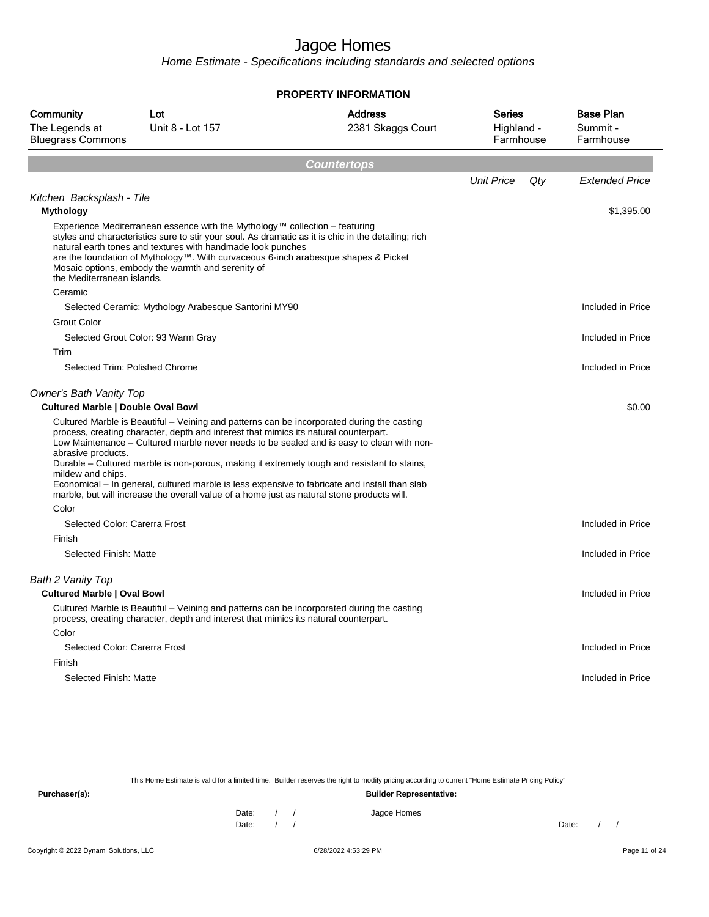Home Estimate - Specifications including standards and selected options

|                                                                             |                                                                                                                                                                                                                                                                                                                                                                                                                                                                                                                                                                               | PROPERTY INFORMATION                |                                          |     |                                           |
|-----------------------------------------------------------------------------|-------------------------------------------------------------------------------------------------------------------------------------------------------------------------------------------------------------------------------------------------------------------------------------------------------------------------------------------------------------------------------------------------------------------------------------------------------------------------------------------------------------------------------------------------------------------------------|-------------------------------------|------------------------------------------|-----|-------------------------------------------|
| Community<br>The Legends at<br><b>Bluegrass Commons</b>                     | Lot<br>Unit 8 - Lot 157                                                                                                                                                                                                                                                                                                                                                                                                                                                                                                                                                       | <b>Address</b><br>2381 Skaggs Court | <b>Series</b><br>Highland -<br>Farmhouse |     | <b>Base Plan</b><br>Summit -<br>Farmhouse |
|                                                                             |                                                                                                                                                                                                                                                                                                                                                                                                                                                                                                                                                                               | <b>Countertops</b>                  |                                          |     |                                           |
|                                                                             |                                                                                                                                                                                                                                                                                                                                                                                                                                                                                                                                                                               |                                     | <b>Unit Price</b>                        | Qty | <b>Extended Price</b>                     |
| Kitchen Backsplash - Tile<br><b>Mythology</b>                               |                                                                                                                                                                                                                                                                                                                                                                                                                                                                                                                                                                               |                                     |                                          |     | \$1,395.00                                |
| the Mediterranean islands.                                                  | Experience Mediterranean essence with the Mythology™ collection – featuring<br>styles and characteristics sure to stir your soul. As dramatic as it is chic in the detailing; rich<br>natural earth tones and textures with handmade look punches<br>are the foundation of Mythology™. With curvaceous 6-inch arabesque shapes & Picket<br>Mosaic options, embody the warmth and serenity of                                                                                                                                                                                  |                                     |                                          |     |                                           |
| Ceramic                                                                     |                                                                                                                                                                                                                                                                                                                                                                                                                                                                                                                                                                               |                                     |                                          |     |                                           |
|                                                                             | Selected Ceramic: Mythology Arabesque Santorini MY90                                                                                                                                                                                                                                                                                                                                                                                                                                                                                                                          |                                     |                                          |     | Included in Price                         |
| <b>Grout Color</b>                                                          |                                                                                                                                                                                                                                                                                                                                                                                                                                                                                                                                                                               |                                     |                                          |     |                                           |
|                                                                             | Selected Grout Color: 93 Warm Gray                                                                                                                                                                                                                                                                                                                                                                                                                                                                                                                                            |                                     |                                          |     | Included in Price                         |
| Trim                                                                        | Selected Trim: Polished Chrome                                                                                                                                                                                                                                                                                                                                                                                                                                                                                                                                                |                                     |                                          |     | Included in Price                         |
| <b>Owner's Bath Vanity Top</b><br><b>Cultured Marble   Double Oval Bowl</b> |                                                                                                                                                                                                                                                                                                                                                                                                                                                                                                                                                                               |                                     |                                          |     | \$0.00                                    |
| abrasive products.<br>mildew and chips.<br>Color                            | Cultured Marble is Beautiful – Veining and patterns can be incorporated during the casting<br>process, creating character, depth and interest that mimics its natural counterpart.<br>Low Maintenance - Cultured marble never needs to be sealed and is easy to clean with non-<br>Durable - Cultured marble is non-porous, making it extremely tough and resistant to stains,<br>Economical – In general, cultured marble is less expensive to fabricate and install than slab<br>marble, but will increase the overall value of a home just as natural stone products will. |                                     |                                          |     |                                           |
| Selected Color: Carerra Frost                                               |                                                                                                                                                                                                                                                                                                                                                                                                                                                                                                                                                                               |                                     |                                          |     | Included in Price                         |
| Finish<br>Selected Finish: Matte                                            |                                                                                                                                                                                                                                                                                                                                                                                                                                                                                                                                                                               |                                     |                                          |     | Included in Price                         |
| Bath 2 Vanity Top<br><b>Cultured Marble   Oval Bowl</b>                     | Cultured Marble is Beautiful - Veining and patterns can be incorporated during the casting                                                                                                                                                                                                                                                                                                                                                                                                                                                                                    |                                     |                                          |     | Included in Price                         |
| Color                                                                       | process, creating character, depth and interest that mimics its natural counterpart.                                                                                                                                                                                                                                                                                                                                                                                                                                                                                          |                                     |                                          |     |                                           |
| Selected Color: Carerra Frost                                               |                                                                                                                                                                                                                                                                                                                                                                                                                                                                                                                                                                               |                                     |                                          |     | Included in Price                         |
| Finish                                                                      |                                                                                                                                                                                                                                                                                                                                                                                                                                                                                                                                                                               |                                     |                                          |     |                                           |
| Selected Finish: Matte                                                      |                                                                                                                                                                                                                                                                                                                                                                                                                                                                                                                                                                               |                                     |                                          |     | Included in Price                         |
|                                                                             |                                                                                                                                                                                                                                                                                                                                                                                                                                                                                                                                                                               |                                     |                                          |     |                                           |

This Home Estimate is valid for a limited time. Builder reserves the right to modify pricing according to current "Home Estimate Pricing Policy"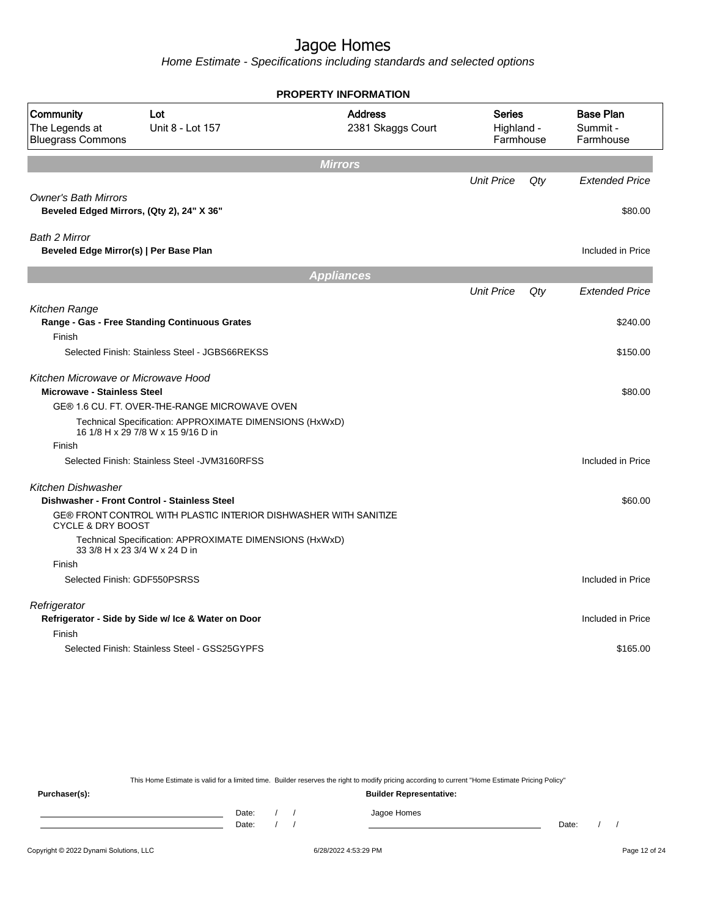Home Estimate - Specifications including standards and selected options

|                                                                           |                                                                                               | <b>PROPERTY INFORMATION</b>         |                                          |     |                                           |
|---------------------------------------------------------------------------|-----------------------------------------------------------------------------------------------|-------------------------------------|------------------------------------------|-----|-------------------------------------------|
| Community<br>The Legends at<br><b>Bluegrass Commons</b>                   | Lot<br>Unit 8 - Lot 157                                                                       | <b>Address</b><br>2381 Skaggs Court | <b>Series</b><br>Highland -<br>Farmhouse |     | <b>Base Plan</b><br>Summit -<br>Farmhouse |
|                                                                           |                                                                                               | <b>Mirrors</b>                      |                                          |     |                                           |
|                                                                           |                                                                                               |                                     | <b>Unit Price</b>                        | Qty | <b>Extended Price</b>                     |
| <b>Owner's Bath Mirrors</b>                                               | Beveled Edged Mirrors, (Qty 2), 24" X 36"                                                     |                                     |                                          |     | \$80.00                                   |
| <b>Bath 2 Mirror</b><br>Beveled Edge Mirror(s)   Per Base Plan            |                                                                                               |                                     |                                          |     | Included in Price                         |
|                                                                           |                                                                                               | <b>Appliances</b>                   |                                          |     |                                           |
|                                                                           |                                                                                               |                                     | <b>Unit Price</b>                        | Qtv | <b>Extended Price</b>                     |
| Kitchen Range                                                             | Range - Gas - Free Standing Continuous Grates                                                 |                                     |                                          |     | \$240.00                                  |
| Finish                                                                    |                                                                                               |                                     |                                          |     |                                           |
|                                                                           | Selected Finish: Stainless Steel - JGBS66REKSS                                                |                                     |                                          |     | \$150.00                                  |
| Kitchen Microwave or Microwave Hood<br><b>Microwave - Stainless Steel</b> |                                                                                               |                                     |                                          |     | \$80.00                                   |
|                                                                           | GE® 1.6 CU. FT. OVER-THE-RANGE MICROWAVE OVEN                                                 |                                     |                                          |     |                                           |
|                                                                           | Technical Specification: APPROXIMATE DIMENSIONS (HxWxD)<br>16 1/8 H x 29 7/8 W x 15 9/16 D in |                                     |                                          |     |                                           |
| Finish                                                                    |                                                                                               |                                     |                                          |     |                                           |
|                                                                           | Selected Finish: Stainless Steel - JVM3160RFSS                                                |                                     |                                          |     | Included in Price                         |
| Kitchen Dishwasher                                                        | Dishwasher - Front Control - Stainless Steel                                                  |                                     |                                          |     | \$60.00                                   |
| <b>CYCLE &amp; DRY BOOST</b>                                              | GE® FRONT CONTROL WITH PLASTIC INTERIOR DISHWASHER WITH SANITIZE                              |                                     |                                          |     |                                           |
|                                                                           | Technical Specification: APPROXIMATE DIMENSIONS (HxWxD)<br>33 3/8 H x 23 3/4 W x 24 D in      |                                     |                                          |     |                                           |
| Finish                                                                    |                                                                                               |                                     |                                          |     |                                           |
|                                                                           | Selected Finish: GDF550PSRSS                                                                  |                                     |                                          |     | Included in Price                         |
| Refrigerator                                                              | Refrigerator - Side by Side w/ Ice & Water on Door                                            |                                     |                                          |     | Included in Price                         |
| Finish                                                                    |                                                                                               |                                     |                                          |     |                                           |
|                                                                           | Selected Finish: Stainless Steel - GSS25GYPFS                                                 |                                     |                                          |     | \$165.00                                  |
|                                                                           |                                                                                               |                                     |                                          |     |                                           |

This Home Estimate is valid for a limited time. Builder reserves the right to modify pricing according to current "Home Estimate Pricing Policy"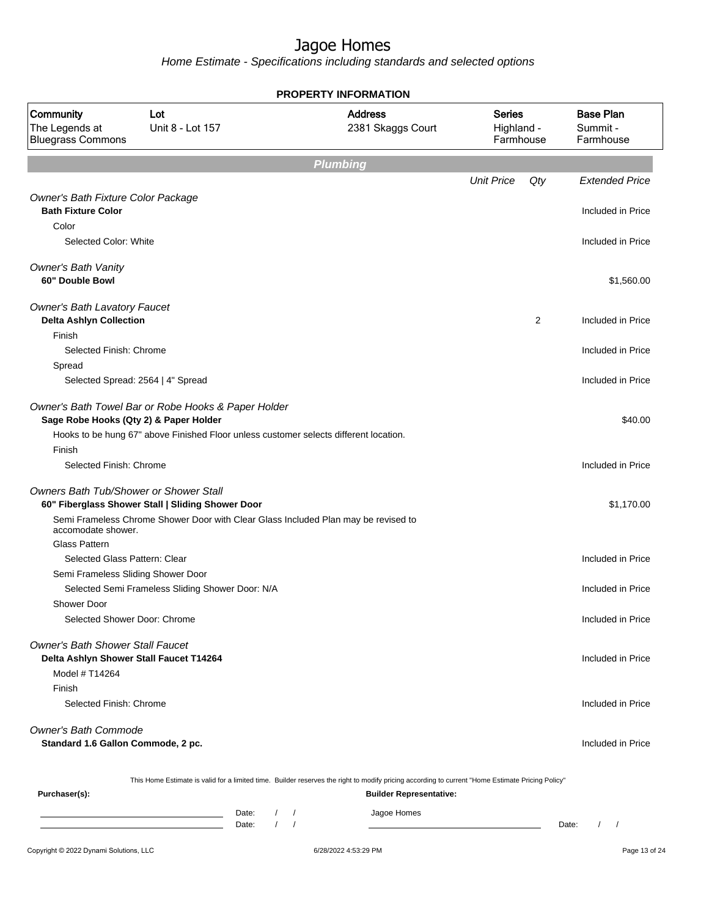|                                                                                    |                                                                                                                                              | <b>PROPERTY INFORMATION</b>                                                                                                                                                        |                                          |                                           |
|------------------------------------------------------------------------------------|----------------------------------------------------------------------------------------------------------------------------------------------|------------------------------------------------------------------------------------------------------------------------------------------------------------------------------------|------------------------------------------|-------------------------------------------|
| Community<br>The Legends at<br><b>Bluegrass Commons</b>                            | Lot<br>Unit 8 - Lot 157                                                                                                                      | <b>Address</b><br>2381 Skaggs Court                                                                                                                                                | <b>Series</b><br>Highland -<br>Farmhouse | <b>Base Plan</b><br>Summit -<br>Farmhouse |
|                                                                                    |                                                                                                                                              | <b>Plumbing</b>                                                                                                                                                                    |                                          |                                           |
|                                                                                    |                                                                                                                                              |                                                                                                                                                                                    | <b>Unit Price</b><br>Qty                 | <b>Extended Price</b>                     |
| Owner's Bath Fixture Color Package<br><b>Bath Fixture Color</b>                    |                                                                                                                                              |                                                                                                                                                                                    |                                          | Included in Price                         |
| Color<br>Selected Color: White                                                     |                                                                                                                                              |                                                                                                                                                                                    |                                          | Included in Price                         |
| <b>Owner's Bath Vanity</b><br>60" Double Bowl                                      |                                                                                                                                              |                                                                                                                                                                                    |                                          | \$1,560.00                                |
| Owner's Bath Lavatory Faucet<br><b>Delta Ashlyn Collection</b>                     |                                                                                                                                              |                                                                                                                                                                                    | 2                                        | Included in Price                         |
| Finish<br>Selected Finish: Chrome                                                  |                                                                                                                                              |                                                                                                                                                                                    |                                          | Included in Price                         |
| Spread                                                                             | Selected Spread: 2564   4" Spread                                                                                                            |                                                                                                                                                                                    |                                          | Included in Price                         |
| Sage Robe Hooks (Qty 2) & Paper Holder                                             | Owner's Bath Towel Bar or Robe Hooks & Paper Holder<br>Hooks to be hung 67" above Finished Floor unless customer selects different location. |                                                                                                                                                                                    |                                          | \$40.00                                   |
| Finish<br>Selected Finish: Chrome                                                  |                                                                                                                                              |                                                                                                                                                                                    |                                          | Included in Price                         |
| <b>Owners Bath Tub/Shower or Shower Stall</b>                                      | 60" Fiberglass Shower Stall   Sliding Shower Door                                                                                            |                                                                                                                                                                                    |                                          | \$1,170.00                                |
| accomodate shower.                                                                 | Semi Frameless Chrome Shower Door with Clear Glass Included Plan may be revised to                                                           |                                                                                                                                                                                    |                                          |                                           |
| <b>Glass Pattern</b>                                                               |                                                                                                                                              |                                                                                                                                                                                    |                                          |                                           |
| Selected Glass Pattern: Clear                                                      |                                                                                                                                              |                                                                                                                                                                                    |                                          | Included in Price                         |
| Semi Frameless Sliding Shower Door                                                 |                                                                                                                                              |                                                                                                                                                                                    |                                          |                                           |
|                                                                                    | Selected Semi Frameless Sliding Shower Door: N/A                                                                                             |                                                                                                                                                                                    |                                          | Included in Price                         |
| Shower Door<br>Selected Shower Door: Chrome                                        |                                                                                                                                              |                                                                                                                                                                                    |                                          | Included in Price                         |
| <b>Owner's Bath Shower Stall Faucet</b><br>Delta Ashlyn Shower Stall Faucet T14264 |                                                                                                                                              |                                                                                                                                                                                    |                                          | Included in Price                         |
| Model # T14264                                                                     |                                                                                                                                              |                                                                                                                                                                                    |                                          |                                           |
| Finish                                                                             |                                                                                                                                              |                                                                                                                                                                                    |                                          |                                           |
| Selected Finish: Chrome                                                            |                                                                                                                                              |                                                                                                                                                                                    |                                          | Included in Price                         |
| <b>Owner's Bath Commode</b><br>Standard 1.6 Gallon Commode, 2 pc.                  |                                                                                                                                              |                                                                                                                                                                                    |                                          | Included in Price                         |
| Purchaser(s):                                                                      |                                                                                                                                              | This Home Estimate is valid for a limited time. Builder reserves the right to modify pricing according to current "Home Estimate Pricing Policy"<br><b>Builder Representative:</b> |                                          |                                           |
|                                                                                    | Date:<br>Date:                                                                                                                               | Jagoe Homes                                                                                                                                                                        |                                          | Date:<br>$\sqrt{ }$                       |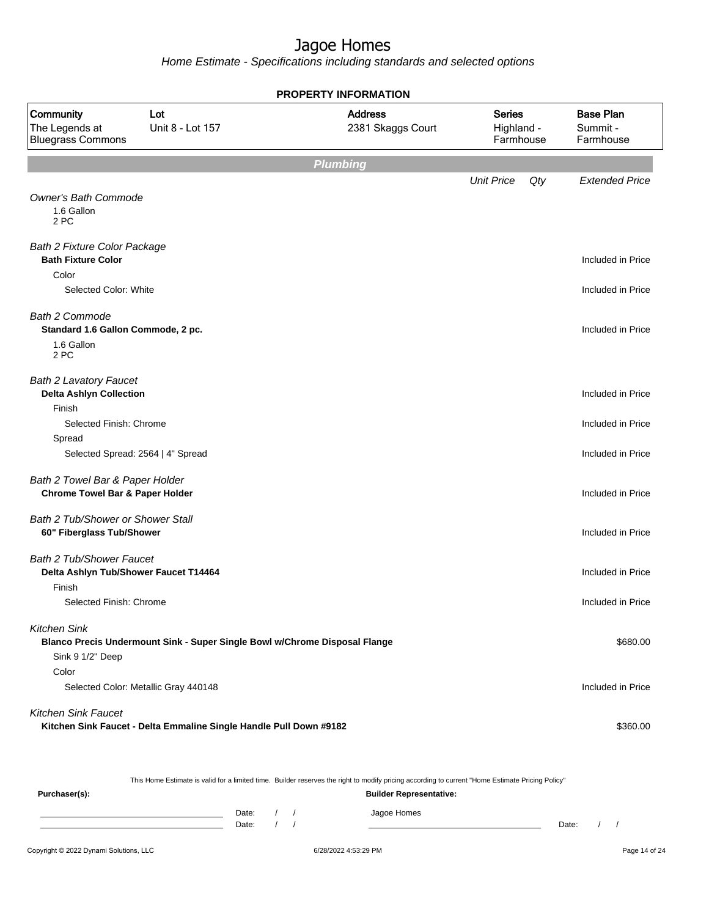Home Estimate - Specifications including standards and selected options

|                                                                               |                                                                            | <b>PROPERTY INFORMATION</b>         |                                          |     |                                           |
|-------------------------------------------------------------------------------|----------------------------------------------------------------------------|-------------------------------------|------------------------------------------|-----|-------------------------------------------|
| Community<br>The Legends at<br><b>Bluegrass Commons</b>                       | Lot<br>Unit 8 - Lot 157                                                    | <b>Address</b><br>2381 Skaggs Court | <b>Series</b><br>Highland -<br>Farmhouse |     | <b>Base Plan</b><br>Summit -<br>Farmhouse |
|                                                                               |                                                                            | <b>Plumbing</b>                     |                                          |     |                                           |
|                                                                               |                                                                            |                                     | <b>Unit Price</b>                        | Qty | <b>Extended Price</b>                     |
| <b>Owner's Bath Commode</b><br>1.6 Gallon<br>2 PC                             |                                                                            |                                     |                                          |     |                                           |
| <b>Bath 2 Fixture Color Package</b><br><b>Bath Fixture Color</b>              |                                                                            |                                     |                                          |     | Included in Price                         |
| Color                                                                         |                                                                            |                                     |                                          |     |                                           |
| Selected Color: White                                                         |                                                                            |                                     |                                          |     | Included in Price                         |
| <b>Bath 2 Commode</b><br>Standard 1.6 Gallon Commode, 2 pc.                   |                                                                            |                                     |                                          |     | Included in Price                         |
| 1.6 Gallon<br>2 PC                                                            |                                                                            |                                     |                                          |     |                                           |
| <b>Bath 2 Lavatory Faucet</b>                                                 |                                                                            |                                     |                                          |     |                                           |
| <b>Delta Ashlyn Collection</b>                                                |                                                                            |                                     |                                          |     | Included in Price                         |
| Finish<br>Selected Finish: Chrome                                             |                                                                            |                                     |                                          |     | Included in Price                         |
| Spread                                                                        |                                                                            |                                     |                                          |     |                                           |
| Selected Spread: 2564   4" Spread                                             |                                                                            |                                     |                                          |     | Included in Price                         |
| Bath 2 Towel Bar & Paper Holder<br><b>Chrome Towel Bar &amp; Paper Holder</b> |                                                                            |                                     |                                          |     | Included in Price                         |
| Bath 2 Tub/Shower or Shower Stall<br>60" Fiberglass Tub/Shower                |                                                                            |                                     |                                          |     | Included in Price                         |
| Bath 2 Tub/Shower Faucet<br>Delta Ashlyn Tub/Shower Faucet T14464             |                                                                            |                                     |                                          |     | Included in Price                         |
| Finish<br>Selected Finish: Chrome                                             |                                                                            |                                     |                                          |     | Included in Price                         |
| <b>Kitchen Sink</b>                                                           |                                                                            |                                     |                                          |     |                                           |
| Sink 9 1/2" Deep                                                              | Blanco Precis Undermount Sink - Super Single Bowl w/Chrome Disposal Flange |                                     |                                          |     | \$680.00                                  |
| Color                                                                         | Selected Color: Metallic Gray 440148                                       |                                     |                                          |     | Included in Price                         |
| <b>Kitchen Sink Faucet</b>                                                    | Kitchen Sink Faucet - Delta Emmaline Single Handle Pull Down #9182         |                                     |                                          |     | \$360.00                                  |

This Home Estimate is valid for a limited time. Builder reserves the right to modify pricing according to current "Home Estimate Pricing Policy"

**Purchaser(s): Builder Representative:** Date: / / Jagoe Homes<br>Date: / / Jagoe Homes Date: / / **Date: / / 2006** Date: / / / Date: / / / Date: / / / 2006 Date: / / / 2006 Date: / / / 2006 Date: / / / 2006 Date: / / / 2007 Date: / / / 2007 Date: / / / 2007 Date: / / / 2007 Date: / / / 2007 Date: / / / 2007 D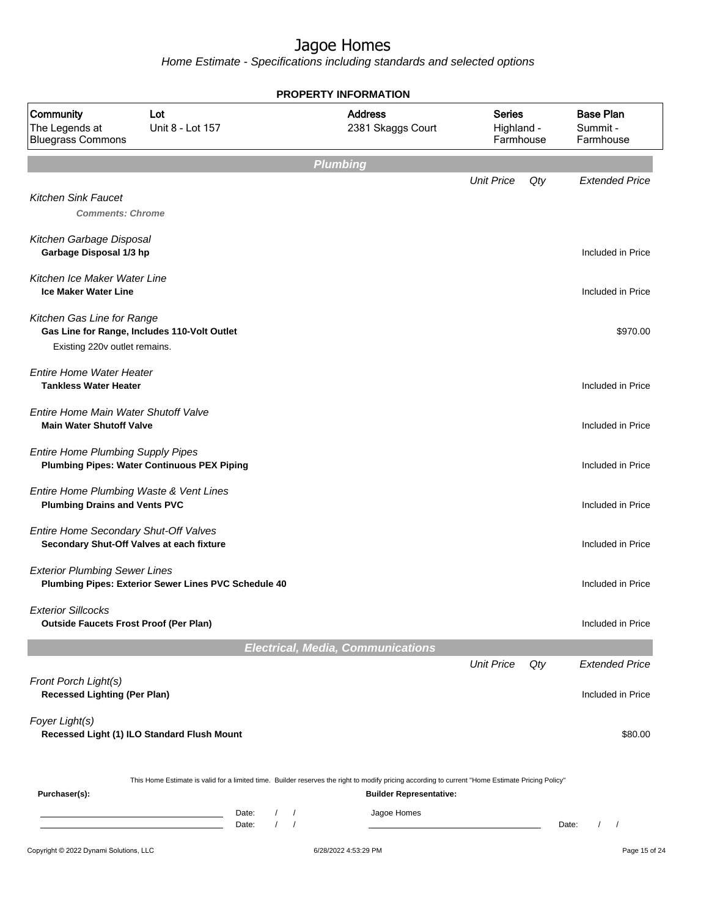|                                                                                 |                                                             |                                                                  | <b>PROPERTY INFORMATION</b>                                                                                                                                                        |                                          |     |                                           |
|---------------------------------------------------------------------------------|-------------------------------------------------------------|------------------------------------------------------------------|------------------------------------------------------------------------------------------------------------------------------------------------------------------------------------|------------------------------------------|-----|-------------------------------------------|
| Community<br>The Legends at<br><b>Bluegrass Commons</b>                         | Lot<br>Unit 8 - Lot 157                                     |                                                                  | <b>Address</b><br>2381 Skaggs Court                                                                                                                                                | <b>Series</b><br>Highland -<br>Farmhouse |     | <b>Base Plan</b><br>Summit -<br>Farmhouse |
|                                                                                 |                                                             |                                                                  | <b>Plumbing</b>                                                                                                                                                                    |                                          |     |                                           |
| <b>Kitchen Sink Faucet</b><br><b>Comments: Chrome</b>                           |                                                             |                                                                  |                                                                                                                                                                                    | <b>Unit Price</b>                        | Qty | <b>Extended Price</b>                     |
| Kitchen Garbage Disposal<br>Garbage Disposal 1/3 hp                             |                                                             |                                                                  |                                                                                                                                                                                    |                                          |     | Included in Price                         |
| Kitchen Ice Maker Water Line<br><b>Ice Maker Water Line</b>                     |                                                             |                                                                  |                                                                                                                                                                                    |                                          |     | Included in Price                         |
| Kitchen Gas Line for Range<br>Existing 220v outlet remains.                     | Gas Line for Range, Includes 110-Volt Outlet                |                                                                  |                                                                                                                                                                                    |                                          |     | \$970.00                                  |
| <b>Entire Home Water Heater</b><br><b>Tankless Water Heater</b>                 |                                                             |                                                                  |                                                                                                                                                                                    |                                          |     | Included in Price                         |
| Entire Home Main Water Shutoff Valve<br><b>Main Water Shutoff Valve</b>         |                                                             |                                                                  |                                                                                                                                                                                    |                                          |     | Included in Price                         |
| <b>Entire Home Plumbing Supply Pipes</b>                                        | <b>Plumbing Pipes: Water Continuous PEX Piping</b>          |                                                                  |                                                                                                                                                                                    |                                          |     | Included in Price                         |
| Entire Home Plumbing Waste & Vent Lines<br><b>Plumbing Drains and Vents PVC</b> |                                                             |                                                                  |                                                                                                                                                                                    |                                          |     | Included in Price                         |
| Entire Home Secondary Shut-Off Valves                                           | Secondary Shut-Off Valves at each fixture                   |                                                                  |                                                                                                                                                                                    |                                          |     | Included in Price                         |
| <b>Exterior Plumbing Sewer Lines</b>                                            | Plumbing Pipes: Exterior Sewer Lines PVC Schedule 40        |                                                                  |                                                                                                                                                                                    |                                          |     | Included in Price                         |
| <b>Exterior Sillcocks</b><br><b>Outside Faucets Frost Proof (Per Plan)</b>      |                                                             |                                                                  |                                                                                                                                                                                    |                                          |     | Included in Price                         |
|                                                                                 |                                                             |                                                                  | <b>Electrical, Media, Communications</b>                                                                                                                                           |                                          |     |                                           |
|                                                                                 |                                                             |                                                                  |                                                                                                                                                                                    | <b>Unit Price</b>                        | Qty | <b>Extended Price</b>                     |
| Front Porch Light(s)<br><b>Recessed Lighting (Per Plan)</b>                     |                                                             |                                                                  |                                                                                                                                                                                    |                                          |     | Included in Price                         |
| Foyer Light(s)                                                                  | Recessed Light (1) ILO Standard Flush Mount                 |                                                                  |                                                                                                                                                                                    |                                          |     | \$80.00                                   |
| Purchaser(s):                                                                   |                                                             |                                                                  | This Home Estimate is valid for a limited time. Builder reserves the right to modify pricing according to current "Home Estimate Pricing Policy"<br><b>Builder Representative:</b> |                                          |     |                                           |
|                                                                                 | <u> 1980 - Johann Barn, mars an t-Amerikaansk komponist</u> | Date:<br>$\sqrt{2}$<br>$\prime$<br>$\prime$<br>$\prime$<br>Date: | Jagoe Homes                                                                                                                                                                        |                                          |     | Date:                                     |
| Copyright © 2022 Dynami Solutions, LLC                                          |                                                             |                                                                  | 6/28/2022 4:53:29 PM                                                                                                                                                               |                                          |     | Page 15 of 24                             |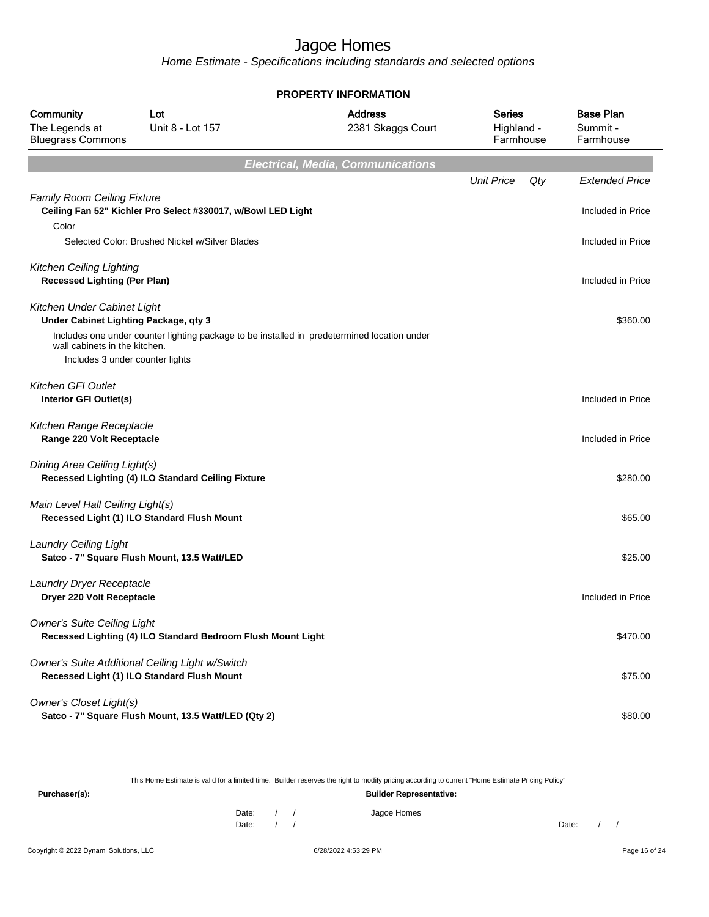Home Estimate - Specifications including standards and selected options

|                                                                        |                                                                                                | <b>PROPERTY INFORMATION</b>              |                                          |                                           |
|------------------------------------------------------------------------|------------------------------------------------------------------------------------------------|------------------------------------------|------------------------------------------|-------------------------------------------|
| Community<br>The Legends at<br><b>Bluegrass Commons</b>                | Lot<br>Unit 8 - Lot 157                                                                        | <b>Address</b><br>2381 Skaggs Court      | <b>Series</b><br>Highland -<br>Farmhouse | <b>Base Plan</b><br>Summit -<br>Farmhouse |
|                                                                        |                                                                                                | <b>Electrical, Media, Communications</b> |                                          |                                           |
|                                                                        |                                                                                                |                                          | <b>Unit Price</b><br>Qty                 | <b>Extended Price</b>                     |
| <b>Family Room Ceiling Fixture</b>                                     | Ceiling Fan 52" Kichler Pro Select #330017, w/Bowl LED Light                                   |                                          |                                          | Included in Price                         |
| Color                                                                  | Selected Color: Brushed Nickel w/Silver Blades                                                 |                                          |                                          | Included in Price                         |
|                                                                        |                                                                                                |                                          |                                          |                                           |
| <b>Kitchen Ceiling Lighting</b><br><b>Recessed Lighting (Per Plan)</b> |                                                                                                |                                          |                                          | Included in Price                         |
| Kitchen Under Cabinet Light<br>Under Cabinet Lighting Package, qty 3   |                                                                                                |                                          |                                          | \$360.00                                  |
| wall cabinets in the kitchen.                                          | Includes one under counter lighting package to be installed in predetermined location under    |                                          |                                          |                                           |
|                                                                        | Includes 3 under counter lights                                                                |                                          |                                          |                                           |
|                                                                        |                                                                                                |                                          |                                          |                                           |
| <b>Kitchen GFI Outlet</b><br>Interior GFI Outlet(s)                    |                                                                                                |                                          |                                          | Included in Price                         |
|                                                                        |                                                                                                |                                          |                                          |                                           |
| Kitchen Range Receptacle<br>Range 220 Volt Receptacle                  |                                                                                                |                                          |                                          | Included in Price                         |
|                                                                        |                                                                                                |                                          |                                          |                                           |
| Dining Area Ceiling Light(s)                                           | Recessed Lighting (4) ILO Standard Ceiling Fixture                                             |                                          |                                          | \$280.00                                  |
| Main Level Hall Ceiling Light(s)                                       |                                                                                                |                                          |                                          |                                           |
|                                                                        | Recessed Light (1) ILO Standard Flush Mount                                                    |                                          |                                          | \$65.00                                   |
| <b>Laundry Ceiling Light</b>                                           |                                                                                                |                                          |                                          |                                           |
|                                                                        | Satco - 7" Square Flush Mount, 13.5 Watt/LED                                                   |                                          |                                          | \$25.00                                   |
|                                                                        |                                                                                                |                                          |                                          |                                           |
| Laundry Dryer Receptacle<br>Dryer 220 Volt Receptacle                  |                                                                                                |                                          |                                          | Included in Price                         |
|                                                                        |                                                                                                |                                          |                                          |                                           |
| <b>Owner's Suite Ceiling Light</b>                                     | Recessed Lighting (4) ILO Standard Bedroom Flush Mount Light                                   |                                          |                                          | \$470.00                                  |
|                                                                        |                                                                                                |                                          |                                          |                                           |
|                                                                        | Owner's Suite Additional Ceiling Light w/Switch<br>Recessed Light (1) ILO Standard Flush Mount |                                          |                                          | \$75.00                                   |
| <b>Owner's Closet Light(s)</b>                                         |                                                                                                |                                          |                                          |                                           |
|                                                                        | Satco - 7" Square Flush Mount, 13.5 Watt/LED (Qty 2)                                           |                                          |                                          | \$80.00                                   |

This Home Estimate is valid for a limited time. Builder reserves the right to modify pricing according to current "Home Estimate Pricing Policy"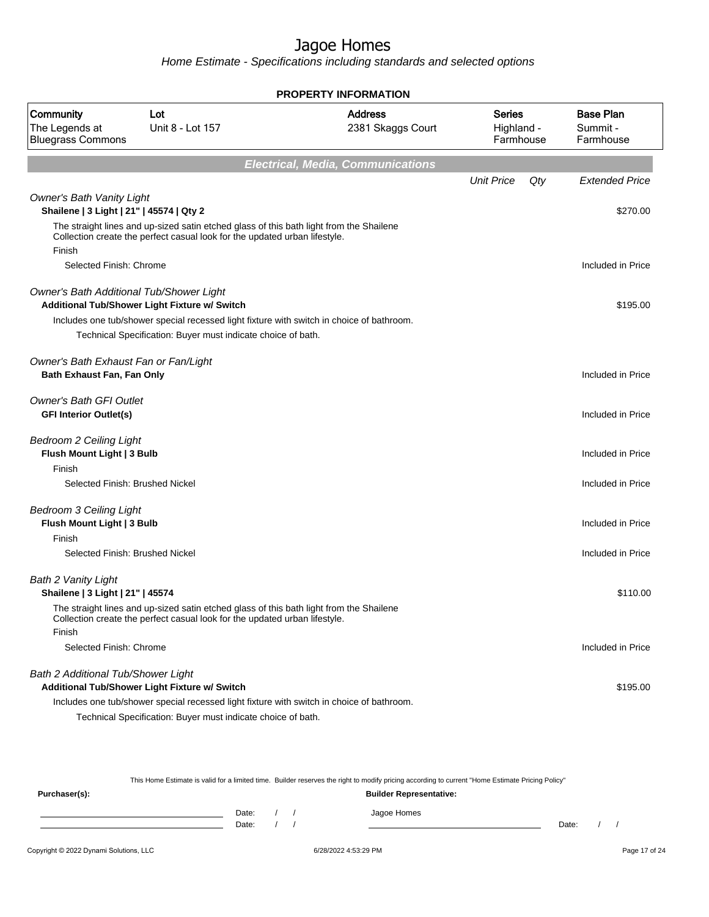Home Estimate - Specifications including standards and selected options

|                                                                              |                                                                                                                                                                       | <b>PROPERTY INFORMATION</b>              |                                          |     |                                           |
|------------------------------------------------------------------------------|-----------------------------------------------------------------------------------------------------------------------------------------------------------------------|------------------------------------------|------------------------------------------|-----|-------------------------------------------|
| Community<br>The Legends at<br><b>Bluegrass Commons</b>                      | Lot<br>Unit 8 - Lot 157                                                                                                                                               | <b>Address</b><br>2381 Skaggs Court      | <b>Series</b><br>Highland -<br>Farmhouse |     | <b>Base Plan</b><br>Summit -<br>Farmhouse |
|                                                                              |                                                                                                                                                                       | <b>Electrical, Media, Communications</b> |                                          |     |                                           |
|                                                                              |                                                                                                                                                                       |                                          | <b>Unit Price</b>                        | Qty | <b>Extended Price</b>                     |
| <b>Owner's Bath Vanity Light</b><br>Shailene   3 Light   21"   45574   Qty 2 |                                                                                                                                                                       |                                          |                                          |     | \$270.00                                  |
| Finish                                                                       | The straight lines and up-sized satin etched glass of this bath light from the Shailene<br>Collection create the perfect casual look for the updated urban lifestyle. |                                          |                                          |     |                                           |
| Selected Finish: Chrome                                                      |                                                                                                                                                                       |                                          |                                          |     | Included in Price                         |
|                                                                              | Owner's Bath Additional Tub/Shower Light<br>Additional Tub/Shower Light Fixture w/ Switch                                                                             |                                          |                                          |     | \$195.00                                  |
|                                                                              | Includes one tub/shower special recessed light fixture with switch in choice of bathroom.<br>Technical Specification: Buyer must indicate choice of bath.             |                                          |                                          |     |                                           |
| Owner's Bath Exhaust Fan or Fan/Light<br>Bath Exhaust Fan, Fan Only          |                                                                                                                                                                       |                                          |                                          |     | Included in Price                         |
| <b>Owner's Bath GFI Outlet</b><br><b>GFI Interior Outlet(s)</b>              |                                                                                                                                                                       |                                          |                                          |     | Included in Price                         |
| <b>Bedroom 2 Ceiling Light</b><br>Flush Mount Light   3 Bulb                 |                                                                                                                                                                       |                                          |                                          |     | Included in Price                         |
| Finish                                                                       | Selected Finish: Brushed Nickel                                                                                                                                       |                                          |                                          |     | Included in Price                         |
|                                                                              |                                                                                                                                                                       |                                          |                                          |     |                                           |
| <b>Bedroom 3 Ceiling Light</b><br>Flush Mount Light   3 Bulb                 |                                                                                                                                                                       |                                          |                                          |     | Included in Price                         |
| Finish                                                                       |                                                                                                                                                                       |                                          |                                          |     |                                           |
|                                                                              | Selected Finish: Brushed Nickel                                                                                                                                       |                                          |                                          |     | Included in Price                         |
| <b>Bath 2 Vanity Light</b><br>Shailene   3 Light   21"   45574               |                                                                                                                                                                       |                                          |                                          |     | \$110.00                                  |
| Finish                                                                       | The straight lines and up-sized satin etched glass of this bath light from the Shailene<br>Collection create the perfect casual look for the updated urban lifestyle. |                                          |                                          |     |                                           |
| Selected Finish: Chrome                                                      |                                                                                                                                                                       |                                          |                                          |     | Included in Price                         |
| Bath 2 Additional Tub/Shower Light                                           | Additional Tub/Shower Light Fixture w/ Switch                                                                                                                         |                                          |                                          |     | \$195.00                                  |
|                                                                              | Includes one tub/shower special recessed light fixture with switch in choice of bathroom.                                                                             |                                          |                                          |     |                                           |
|                                                                              | Technical Specification: Buyer must indicate choice of bath.                                                                                                          |                                          |                                          |     |                                           |

This Home Estimate is valid for a limited time. Builder reserves the right to modify pricing according to current "Home Estimate Pricing Policy"

| Purchaser(s): |                |  | ___<br><b>Builder Representative:</b> | __    |  |
|---------------|----------------|--|---------------------------------------|-------|--|
|               | Date:<br>Date: |  | Jagoe Homes                           | Date: |  |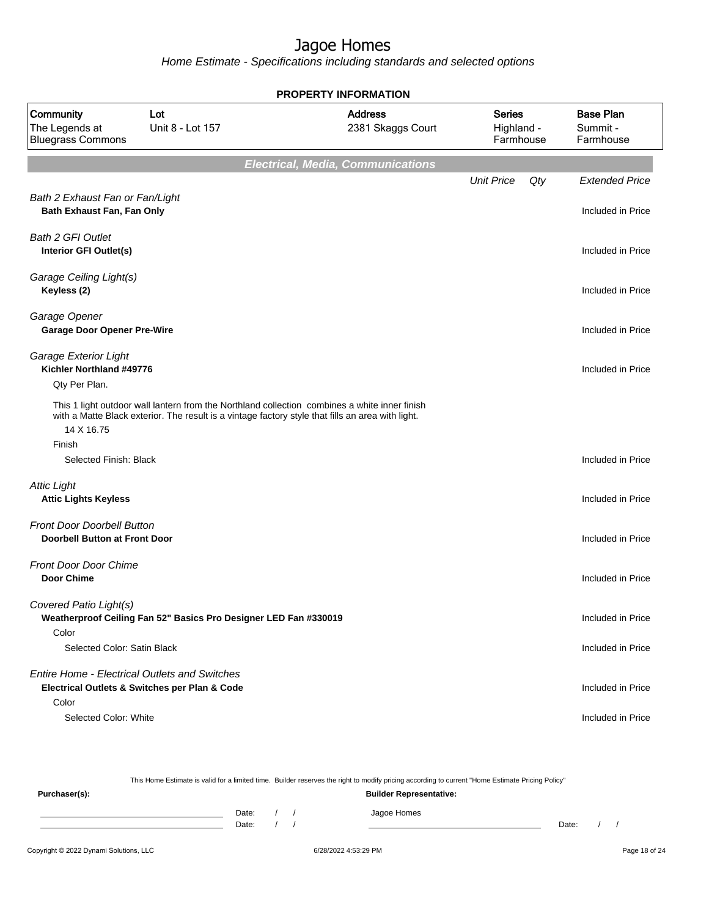Home Estimate - Specifications including standards and selected options

|                                                                           |                                                                                                   | <b>PROPERTY INFORMATION</b>                                                                   |                                          |                                           |
|---------------------------------------------------------------------------|---------------------------------------------------------------------------------------------------|-----------------------------------------------------------------------------------------------|------------------------------------------|-------------------------------------------|
| Community<br>The Legends at<br><b>Bluegrass Commons</b>                   | <b>Address</b><br>Lot<br>Unit 8 - Lot 157<br>2381 Skaggs Court                                    |                                                                                               | <b>Series</b><br>Highland -<br>Farmhouse | <b>Base Plan</b><br>Summit -<br>Farmhouse |
|                                                                           |                                                                                                   | <b>Electrical, Media, Communications</b>                                                      |                                          |                                           |
|                                                                           |                                                                                                   |                                                                                               | <b>Unit Price</b><br>Qty                 | <b>Extended Price</b>                     |
| Bath 2 Exhaust Fan or Fan/Light<br>Bath Exhaust Fan, Fan Only             |                                                                                                   |                                                                                               |                                          | Included in Price                         |
| <b>Bath 2 GFI Outlet</b><br>Interior GFI Outlet(s)                        |                                                                                                   |                                                                                               |                                          | Included in Price                         |
| Garage Ceiling Light(s)<br>Keyless (2)                                    |                                                                                                   |                                                                                               |                                          | Included in Price                         |
| Garage Opener<br><b>Garage Door Opener Pre-Wire</b>                       |                                                                                                   |                                                                                               |                                          | Included in Price                         |
| Garage Exterior Light<br>Kichler Northland #49776<br>Qty Per Plan.        |                                                                                                   |                                                                                               |                                          | Included in Price                         |
| 14 X 16.75                                                                | with a Matte Black exterior. The result is a vintage factory style that fills an area with light. | This 1 light outdoor wall lantern from the Northland collection combines a white inner finish |                                          |                                           |
| Finish<br>Selected Finish: Black                                          |                                                                                                   |                                                                                               |                                          | Included in Price                         |
| <b>Attic Light</b><br><b>Attic Lights Keyless</b>                         |                                                                                                   |                                                                                               |                                          | Included in Price                         |
| <b>Front Door Doorbell Button</b><br><b>Doorbell Button at Front Door</b> |                                                                                                   |                                                                                               |                                          | Included in Price                         |
| <b>Front Door Door Chime</b><br><b>Door Chime</b>                         |                                                                                                   |                                                                                               |                                          | Included in Price                         |
| Covered Patio Light(s)                                                    | Weatherproof Ceiling Fan 52" Basics Pro Designer LED Fan #330019                                  |                                                                                               |                                          | Included in Price                         |
| Color<br>Selected Color: Satin Black                                      |                                                                                                   |                                                                                               |                                          | Included in Price                         |
| <b>Entire Home - Electrical Outlets and Switches</b>                      | Electrical Outlets & Switches per Plan & Code                                                     |                                                                                               |                                          | Included in Price                         |
| Color<br>Selected Color: White                                            |                                                                                                   |                                                                                               |                                          | Included in Price                         |

This Home Estimate is valid for a limited time. Builder reserves the right to modify pricing according to current "Home Estimate Pricing Policy" **Purchaser(s): Builder Representative:** Date: / / Jagoe Homes<br>Date: / / Jagoe Homes Date: / / Date: / /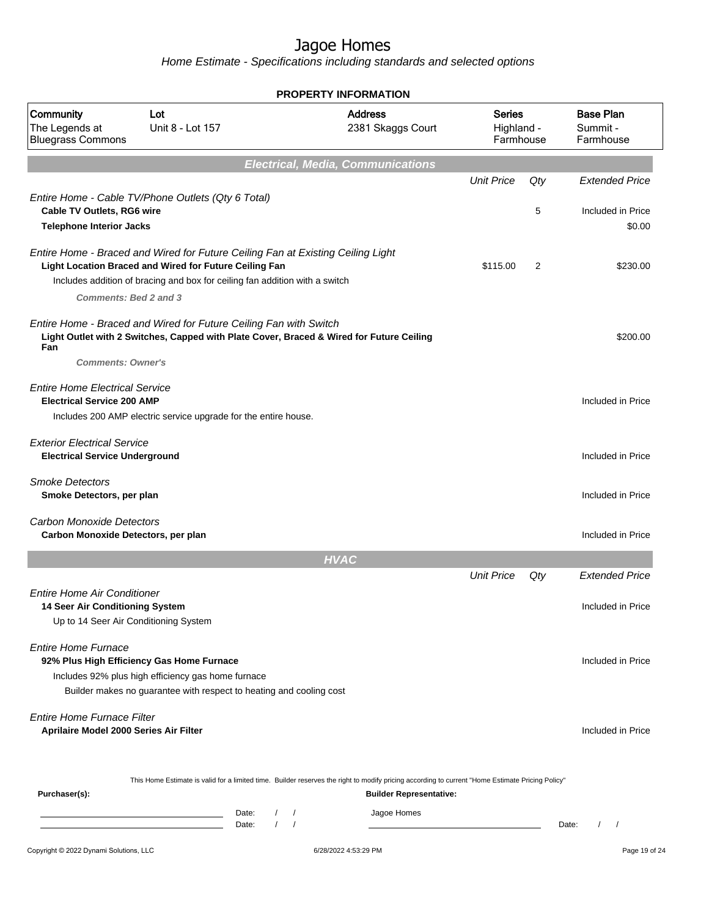|                                                                             |                                                                                                                                                                                                                          | <b>PROPERTY INFORMATION</b> |                                          |                                          |          |                                            |
|-----------------------------------------------------------------------------|--------------------------------------------------------------------------------------------------------------------------------------------------------------------------------------------------------------------------|-----------------------------|------------------------------------------|------------------------------------------|----------|--------------------------------------------|
| Community<br>The Legends at<br><b>Bluegrass Commons</b>                     | Lot<br>Unit 8 - Lot 157                                                                                                                                                                                                  |                             | <b>Address</b><br>2381 Skaggs Court      | <b>Series</b><br>Highland -<br>Farmhouse |          | <b>Base Plan</b><br>Summit -<br>Farmhouse  |
|                                                                             |                                                                                                                                                                                                                          |                             | <b>Electrical, Media, Communications</b> |                                          |          |                                            |
| Cable TV Outlets, RG6 wire                                                  | Entire Home - Cable TV/Phone Outlets (Qty 6 Total)                                                                                                                                                                       |                             |                                          | <b>Unit Price</b>                        | Qty<br>5 | <b>Extended Price</b><br>Included in Price |
| <b>Telephone Interior Jacks</b>                                             |                                                                                                                                                                                                                          |                             |                                          |                                          |          | \$0.00                                     |
| <b>Comments: Bed 2 and 3</b>                                                | Entire Home - Braced and Wired for Future Ceiling Fan at Existing Ceiling Light<br>Light Location Braced and Wired for Future Ceiling Fan<br>Includes addition of bracing and box for ceiling fan addition with a switch |                             |                                          | \$115.00                                 | 2        | \$230.00                                   |
| Fan<br><b>Comments: Owner's</b>                                             | Entire Home - Braced and Wired for Future Ceiling Fan with Switch<br>Light Outlet with 2 Switches, Capped with Plate Cover, Braced & Wired for Future Ceiling                                                            |                             |                                          |                                          |          | \$200.00                                   |
| <b>Entire Home Electrical Service</b><br><b>Electrical Service 200 AMP</b>  | Includes 200 AMP electric service upgrade for the entire house.                                                                                                                                                          |                             |                                          |                                          |          | Included in Price                          |
| <b>Exterior Electrical Service</b><br><b>Electrical Service Underground</b> |                                                                                                                                                                                                                          |                             |                                          |                                          |          | Included in Price                          |
| <b>Smoke Detectors</b><br>Smoke Detectors, per plan                         |                                                                                                                                                                                                                          |                             |                                          |                                          |          | Included in Price                          |
| <b>Carbon Monoxide Detectors</b><br>Carbon Monoxide Detectors, per plan     |                                                                                                                                                                                                                          |                             |                                          |                                          |          | Included in Price                          |
|                                                                             |                                                                                                                                                                                                                          | <b>HVAC</b>                 |                                          |                                          |          |                                            |
| <b>Entire Home Air Conditioner</b><br>14 Seer Air Conditioning System       | Up to 14 Seer Air Conditioning System                                                                                                                                                                                    |                             |                                          | <b>Unit Price</b>                        | Qty      | <b>Extended Price</b><br>Included in Price |
| <b>Entire Home Furnace</b>                                                  | 92% Plus High Efficiency Gas Home Furnace<br>Includes 92% plus high efficiency gas home furnace<br>Builder makes no guarantee with respect to heating and cooling cost                                                   |                             |                                          |                                          |          | Included in Price                          |
| Entire Home Furnace Filter<br>Aprilaire Model 2000 Series Air Filter        |                                                                                                                                                                                                                          |                             |                                          |                                          |          | Included in Price                          |
| Purchaser(s):                                                               | This Home Estimate is valid for a limited time. Builder reserves the right to modify pricing according to current "Home Estimate Pricing Policy"                                                                         |                             | <b>Builder Representative:</b>           |                                          |          |                                            |
|                                                                             | Date:<br><u> 1989 - Johann Barn, mars ann an t-Amhain an t-Amhain an t-Amhain an t-Amhain an t-Amhain an t-Amhain an t-Amh</u><br>$\sqrt{ }$<br>Date:<br>the control of the control of the control of the control of     | $\prime$                    | Jagoe Homes                              |                                          |          | Date:<br>$\left  \right $                  |
| Copyright © 2022 Dynami Solutions, LLC                                      |                                                                                                                                                                                                                          | 6/28/2022 4:53:29 PM        |                                          |                                          |          | Page 19 of 24                              |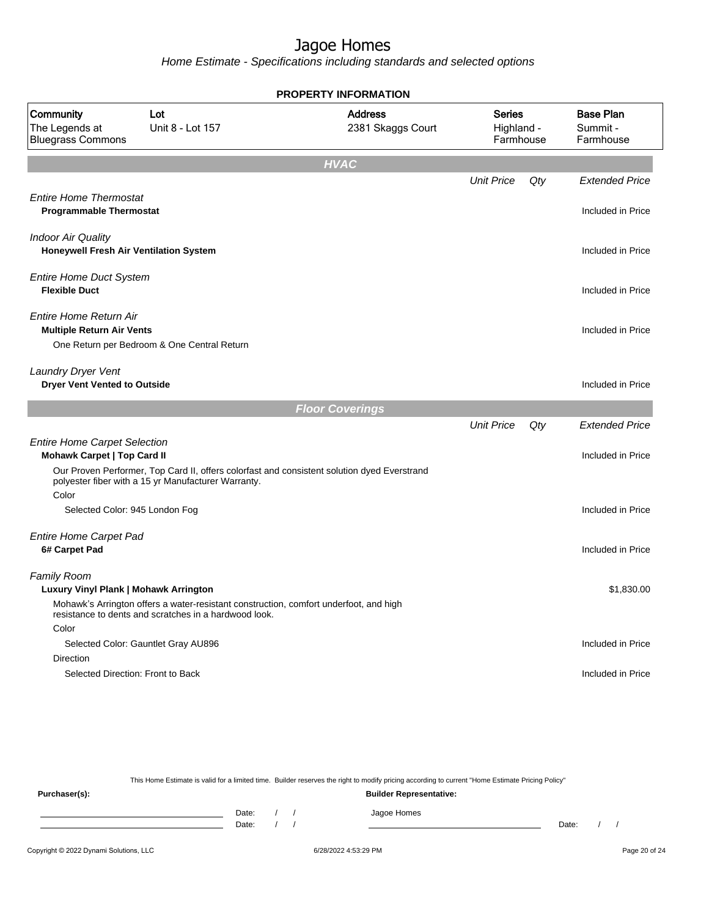**PROPERTY INFORMATION**

Home Estimate - Specifications including standards and selected options

| Community<br>The Legends at<br><b>Bluegrass Commons</b>                   | Lot<br>Unit 8 - Lot 157                                                                                                                        | <b>Address</b><br>2381 Skaggs Court                                                         | <b>Series</b><br>Highland -<br>Farmhouse |     | <b>Base Plan</b><br>Summit -<br>Farmhouse |
|---------------------------------------------------------------------------|------------------------------------------------------------------------------------------------------------------------------------------------|---------------------------------------------------------------------------------------------|------------------------------------------|-----|-------------------------------------------|
|                                                                           |                                                                                                                                                | <b>HVAC</b>                                                                                 |                                          |     |                                           |
|                                                                           |                                                                                                                                                |                                                                                             | <b>Unit Price</b>                        | Qty | <b>Extended Price</b>                     |
| <b>Entire Home Thermostat</b><br><b>Programmable Thermostat</b>           |                                                                                                                                                |                                                                                             |                                          |     | Included in Price                         |
| <b>Indoor Air Quality</b><br>Honeywell Fresh Air Ventilation System       |                                                                                                                                                |                                                                                             |                                          |     | Included in Price                         |
| <b>Entire Home Duct System</b><br><b>Flexible Duct</b>                    |                                                                                                                                                |                                                                                             |                                          |     | Included in Price                         |
| <b>Entire Home Return Air</b><br><b>Multiple Return Air Vents</b>         | One Return per Bedroom & One Central Return                                                                                                    |                                                                                             |                                          |     | Included in Price                         |
| Laundry Dryer Vent<br><b>Dryer Vent Vented to Outside</b>                 |                                                                                                                                                |                                                                                             |                                          |     | Included in Price                         |
|                                                                           |                                                                                                                                                | <b>Floor Coverings</b>                                                                      |                                          |     |                                           |
|                                                                           |                                                                                                                                                |                                                                                             | <b>Unit Price</b>                        | Qty | <b>Extended Price</b>                     |
| <b>Entire Home Carpet Selection</b><br><b>Mohawk Carpet   Top Card II</b> |                                                                                                                                                |                                                                                             |                                          |     | Included in Price                         |
| Color                                                                     | polyester fiber with a 15 yr Manufacturer Warranty.                                                                                            | Our Proven Performer, Top Card II, offers colorfast and consistent solution dyed Everstrand |                                          |     |                                           |
| Selected Color: 945 London Fog                                            |                                                                                                                                                |                                                                                             |                                          |     | Included in Price                         |
| <b>Entire Home Carpet Pad</b><br>6# Carpet Pad                            |                                                                                                                                                |                                                                                             |                                          |     | Included in Price                         |
| Family Room<br>Luxury Vinyl Plank   Mohawk Arrington                      | Mohawk's Arrington offers a water-resistant construction, comfort underfoot, and high<br>resistance to dents and scratches in a hardwood look. |                                                                                             |                                          |     | \$1,830.00                                |
| Color                                                                     |                                                                                                                                                |                                                                                             |                                          |     |                                           |
|                                                                           | Selected Color: Gauntlet Gray AU896                                                                                                            |                                                                                             |                                          |     | Included in Price                         |
| Direction<br>Selected Direction: Front to Back                            |                                                                                                                                                |                                                                                             |                                          |     | Included in Price                         |

This Home Estimate is valid for a limited time. Builder reserves the right to modify pricing according to current "Home Estimate Pricing Policy" **Purchaser(s): Builder Representative:** Date: / / Jagoe Homes<br>Date: / / Jagoe Homes Date: / / Date: / /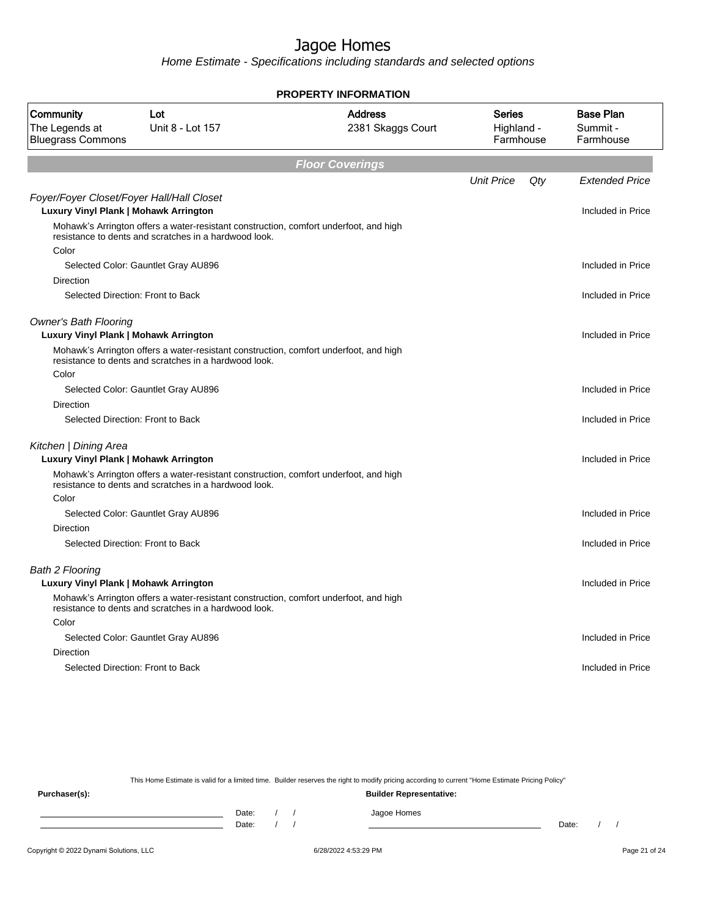Home Estimate - Specifications including standards and selected options

|                                                                                    |                                                                                                                                                | <b>PROPERTY INFORMATION</b>         |                                   |     |                                           |
|------------------------------------------------------------------------------------|------------------------------------------------------------------------------------------------------------------------------------------------|-------------------------------------|-----------------------------------|-----|-------------------------------------------|
| Community<br>The Legends at<br><b>Bluegrass Commons</b>                            | Lot<br>Unit 8 - Lot 157                                                                                                                        | <b>Address</b><br>2381 Skaggs Court | Series<br>Highland -<br>Farmhouse |     | <b>Base Plan</b><br>Summit -<br>Farmhouse |
|                                                                                    |                                                                                                                                                | <b>Floor Coverings</b>              |                                   |     |                                           |
|                                                                                    |                                                                                                                                                |                                     | <b>Unit Price</b>                 | Qty | <b>Extended Price</b>                     |
| Foyer/Foyer Closet/Foyer Hall/Hall Closet<br>Luxury Vinyl Plank   Mohawk Arrington |                                                                                                                                                |                                     |                                   |     | Included in Price                         |
|                                                                                    | Mohawk's Arrington offers a water-resistant construction, comfort underfoot, and high<br>resistance to dents and scratches in a hardwood look. |                                     |                                   |     |                                           |
| Color                                                                              |                                                                                                                                                |                                     |                                   |     |                                           |
|                                                                                    | Selected Color: Gauntlet Gray AU896                                                                                                            |                                     |                                   |     | Included in Price                         |
| Direction                                                                          |                                                                                                                                                |                                     |                                   |     |                                           |
|                                                                                    | Selected Direction: Front to Back                                                                                                              |                                     |                                   |     | Included in Price                         |
| <b>Owner's Bath Flooring</b><br><b>Luxury Vinyl Plank   Mohawk Arrington</b>       |                                                                                                                                                |                                     |                                   |     | Included in Price                         |
|                                                                                    | Mohawk's Arrington offers a water-resistant construction, comfort underfoot, and high<br>resistance to dents and scratches in a hardwood look. |                                     |                                   |     |                                           |
| Color                                                                              |                                                                                                                                                |                                     |                                   |     |                                           |
|                                                                                    | Selected Color: Gauntlet Gray AU896                                                                                                            |                                     |                                   |     | Included in Price                         |
| Direction                                                                          |                                                                                                                                                |                                     |                                   |     |                                           |
|                                                                                    | Selected Direction: Front to Back                                                                                                              |                                     |                                   |     | Included in Price                         |
| Kitchen   Dining Area                                                              |                                                                                                                                                |                                     |                                   |     |                                           |
| <b>Luxury Vinyl Plank   Mohawk Arrington</b>                                       |                                                                                                                                                |                                     |                                   |     | Included in Price                         |
|                                                                                    | Mohawk's Arrington offers a water-resistant construction, comfort underfoot, and high<br>resistance to dents and scratches in a hardwood look. |                                     |                                   |     |                                           |
| Color                                                                              |                                                                                                                                                |                                     |                                   |     |                                           |
|                                                                                    | Selected Color: Gauntlet Gray AU896                                                                                                            |                                     |                                   |     | Included in Price                         |
| Direction                                                                          |                                                                                                                                                |                                     |                                   |     |                                           |
|                                                                                    | Selected Direction: Front to Back                                                                                                              |                                     |                                   |     | Included in Price                         |
| <b>Bath 2 Flooring</b>                                                             |                                                                                                                                                |                                     |                                   |     |                                           |
| Luxury Vinyl Plank   Mohawk Arrington                                              |                                                                                                                                                |                                     |                                   |     | Included in Price                         |
|                                                                                    | Mohawk's Arrington offers a water-resistant construction, comfort underfoot, and high<br>resistance to dents and scratches in a hardwood look. |                                     |                                   |     |                                           |
| Color                                                                              |                                                                                                                                                |                                     |                                   |     |                                           |
|                                                                                    | Selected Color: Gauntlet Gray AU896                                                                                                            |                                     |                                   |     | Included in Price                         |
| Direction                                                                          |                                                                                                                                                |                                     |                                   |     |                                           |
|                                                                                    | Selected Direction: Front to Back                                                                                                              |                                     |                                   |     | Included in Price                         |
|                                                                                    |                                                                                                                                                |                                     |                                   |     |                                           |

This Home Estimate is valid for a limited time. Builder reserves the right to modify pricing according to current "Home Estimate Pricing Policy"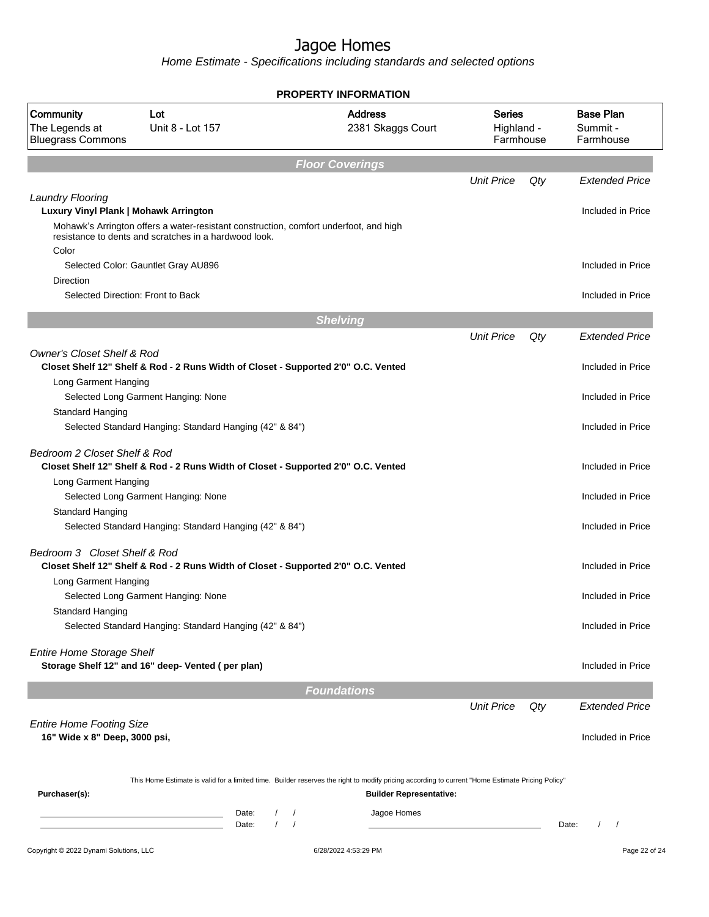|                                                                                    |                                                                                       |                                     | <b>PROPERTY INFORMATION</b>                                                                                                                      |                                          |     |                                           |
|------------------------------------------------------------------------------------|---------------------------------------------------------------------------------------|-------------------------------------|--------------------------------------------------------------------------------------------------------------------------------------------------|------------------------------------------|-----|-------------------------------------------|
| Community<br>Lot<br>The Legends at<br>Unit 8 - Lot 157<br><b>Bluegrass Commons</b> |                                                                                       | <b>Address</b><br>2381 Skaggs Court |                                                                                                                                                  | <b>Series</b><br>Highland -<br>Farmhouse |     | <b>Base Plan</b><br>Summit -<br>Farmhouse |
|                                                                                    |                                                                                       |                                     | <b>Floor Coverings</b>                                                                                                                           |                                          |     |                                           |
|                                                                                    |                                                                                       |                                     |                                                                                                                                                  | <b>Unit Price</b>                        | Qty | <b>Extended Price</b>                     |
| <b>Laundry Flooring</b>                                                            |                                                                                       |                                     |                                                                                                                                                  |                                          |     |                                           |
| Luxury Vinyl Plank   Mohawk Arrington                                              | Mohawk's Arrington offers a water-resistant construction, comfort underfoot, and high |                                     |                                                                                                                                                  |                                          |     | Included in Price                         |
|                                                                                    | resistance to dents and scratches in a hardwood look.                                 |                                     |                                                                                                                                                  |                                          |     |                                           |
| Color                                                                              |                                                                                       |                                     |                                                                                                                                                  |                                          |     |                                           |
| Direction                                                                          | Selected Color: Gauntlet Gray AU896                                                   |                                     |                                                                                                                                                  |                                          |     | Included in Price                         |
|                                                                                    | Selected Direction: Front to Back                                                     |                                     |                                                                                                                                                  |                                          |     | Included in Price                         |
|                                                                                    |                                                                                       |                                     |                                                                                                                                                  |                                          |     |                                           |
|                                                                                    |                                                                                       |                                     | <b>Shelving</b>                                                                                                                                  |                                          |     |                                           |
| <b>Owner's Closet Shelf &amp; Rod</b>                                              |                                                                                       |                                     |                                                                                                                                                  | <b>Unit Price</b>                        | Qty | <b>Extended Price</b>                     |
|                                                                                    | Closet Shelf 12" Shelf & Rod - 2 Runs Width of Closet - Supported 2'0" O.C. Vented    |                                     |                                                                                                                                                  |                                          |     | Included in Price                         |
| Long Garment Hanging                                                               |                                                                                       |                                     |                                                                                                                                                  |                                          |     |                                           |
|                                                                                    | Selected Long Garment Hanging: None                                                   |                                     |                                                                                                                                                  |                                          |     | Included in Price                         |
| <b>Standard Hanging</b>                                                            |                                                                                       |                                     |                                                                                                                                                  |                                          |     |                                           |
|                                                                                    | Selected Standard Hanging: Standard Hanging (42" & 84")                               |                                     |                                                                                                                                                  |                                          |     | Included in Price                         |
| Bedroom 2 Closet Shelf & Rod                                                       | Closet Shelf 12" Shelf & Rod - 2 Runs Width of Closet - Supported 2'0" O.C. Vented    |                                     |                                                                                                                                                  |                                          |     | Included in Price                         |
| Long Garment Hanging                                                               |                                                                                       |                                     |                                                                                                                                                  |                                          |     |                                           |
|                                                                                    | Selected Long Garment Hanging: None                                                   |                                     |                                                                                                                                                  |                                          |     | Included in Price                         |
| <b>Standard Hanging</b>                                                            | Selected Standard Hanging: Standard Hanging (42" & 84")                               |                                     |                                                                                                                                                  |                                          |     | Included in Price                         |
|                                                                                    |                                                                                       |                                     |                                                                                                                                                  |                                          |     |                                           |
| Bedroom 3 Closet Shelf & Rod                                                       | Closet Shelf 12" Shelf & Rod - 2 Runs Width of Closet - Supported 2'0" O.C. Vented    |                                     |                                                                                                                                                  |                                          |     | Included in Price                         |
| Long Garment Hanging                                                               |                                                                                       |                                     |                                                                                                                                                  |                                          |     |                                           |
|                                                                                    | Selected Long Garment Hanging: None                                                   |                                     |                                                                                                                                                  |                                          |     | Included in Price                         |
| Standard Hanging                                                                   | Selected Standard Hanging: Standard Hanging (42" & 84")                               |                                     |                                                                                                                                                  |                                          |     | Included in Price                         |
|                                                                                    |                                                                                       |                                     |                                                                                                                                                  |                                          |     |                                           |
| <b>Entire Home Storage Shelf</b>                                                   |                                                                                       |                                     |                                                                                                                                                  |                                          |     |                                           |
|                                                                                    | Storage Shelf 12" and 16" deep- Vented (per plan)                                     |                                     |                                                                                                                                                  |                                          |     | Included in Price                         |
|                                                                                    |                                                                                       |                                     | <b>Foundations</b>                                                                                                                               |                                          |     |                                           |
|                                                                                    |                                                                                       |                                     |                                                                                                                                                  | <b>Unit Price</b>                        | Qty | <b>Extended Price</b>                     |
| <b>Entire Home Footing Size</b>                                                    |                                                                                       |                                     |                                                                                                                                                  |                                          |     |                                           |
| 16" Wide x 8" Deep, 3000 psi,                                                      |                                                                                       |                                     |                                                                                                                                                  |                                          |     | Included in Price                         |
|                                                                                    |                                                                                       |                                     |                                                                                                                                                  |                                          |     |                                           |
|                                                                                    |                                                                                       |                                     | This Home Estimate is valid for a limited time. Builder reserves the right to modify pricing according to current "Home Estimate Pricing Policy" |                                          |     |                                           |
| Purchaser(s):                                                                      |                                                                                       |                                     | <b>Builder Representative:</b>                                                                                                                   |                                          |     |                                           |
|                                                                                    | Date:<br><u> 1989 - Johann Barn, mars an t-Amerikaansk kommunister (</u>              |                                     | Jagoe Homes                                                                                                                                      |                                          |     |                                           |
|                                                                                    | Date:                                                                                 | $\prime$<br>$\sqrt{ }$              |                                                                                                                                                  |                                          |     | Date:                                     |
| Copyright © 2022 Dynami Solutions, LLC                                             |                                                                                       |                                     | 6/28/2022 4:53:29 PM                                                                                                                             |                                          |     | Page 22 of 24                             |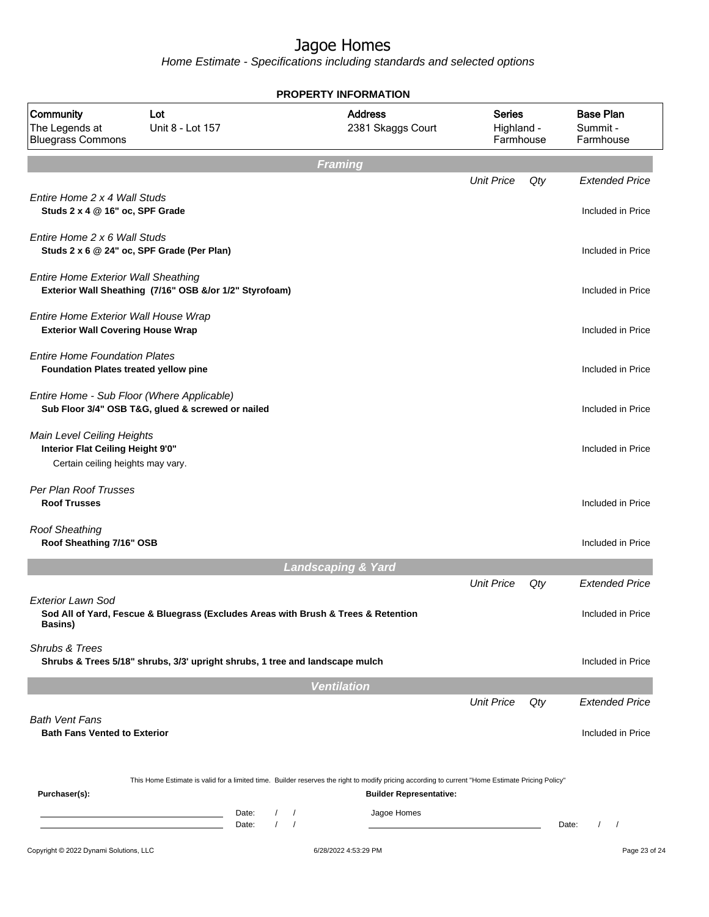|                                                                                                      |                                                                                                 |                                    | <b>PROPERTY INFORMATION</b>                                                                                                                                                        |                                          |     |                                            |
|------------------------------------------------------------------------------------------------------|-------------------------------------------------------------------------------------------------|------------------------------------|------------------------------------------------------------------------------------------------------------------------------------------------------------------------------------|------------------------------------------|-----|--------------------------------------------|
| Community<br>The Legends at<br><b>Bluegrass Commons</b>                                              | Lot<br>Unit 8 - Lot 157                                                                         |                                    | <b>Address</b><br>2381 Skaggs Court                                                                                                                                                | <b>Series</b><br>Highland -<br>Farmhouse |     | <b>Base Plan</b><br>Summit -<br>Farmhouse  |
|                                                                                                      |                                                                                                 |                                    | <b>Framing</b>                                                                                                                                                                     |                                          |     |                                            |
| Entire Home 2 x 4 Wall Studs<br>Studs 2 x 4 @ 16" oc, SPF Grade                                      |                                                                                                 |                                    |                                                                                                                                                                                    | <b>Unit Price</b>                        | Qty | <b>Extended Price</b><br>Included in Price |
| Entire Home 2 x 6 Wall Studs                                                                         | Studs 2 x 6 @ 24" oc, SPF Grade (Per Plan)                                                      |                                    |                                                                                                                                                                                    |                                          |     | Included in Price                          |
| <b>Entire Home Exterior Wall Sheathing</b>                                                           | Exterior Wall Sheathing (7/16" OSB &/or 1/2" Styrofoam)                                         |                                    |                                                                                                                                                                                    |                                          |     | Included in Price                          |
| Entire Home Exterior Wall House Wrap<br><b>Exterior Wall Covering House Wrap</b>                     |                                                                                                 |                                    |                                                                                                                                                                                    |                                          |     | Included in Price                          |
| <b>Entire Home Foundation Plates</b><br>Foundation Plates treated yellow pine                        |                                                                                                 |                                    |                                                                                                                                                                                    |                                          |     | Included in Price                          |
|                                                                                                      | Entire Home - Sub Floor (Where Applicable)<br>Sub Floor 3/4" OSB T&G, glued & screwed or nailed |                                    |                                                                                                                                                                                    |                                          |     | Included in Price                          |
| Main Level Ceiling Heights<br>Interior Flat Ceiling Height 9'0"<br>Certain ceiling heights may vary. |                                                                                                 |                                    |                                                                                                                                                                                    |                                          |     | Included in Price                          |
| Per Plan Roof Trusses<br><b>Roof Trusses</b>                                                         |                                                                                                 |                                    |                                                                                                                                                                                    |                                          |     | Included in Price                          |
| <b>Roof Sheathing</b><br>Roof Sheathing 7/16" OSB                                                    |                                                                                                 |                                    |                                                                                                                                                                                    |                                          |     | Included in Price                          |
|                                                                                                      |                                                                                                 |                                    | <b>Landscaping &amp; Yard</b>                                                                                                                                                      |                                          |     |                                            |
|                                                                                                      |                                                                                                 |                                    |                                                                                                                                                                                    | <b>Unit Price</b>                        | Qty | <b>Extended Price</b>                      |
| Exterior Lawn Sod<br><b>Basins</b> )                                                                 | Sod All of Yard, Fescue & Bluegrass (Excludes Areas with Brush & Trees & Retention              |                                    |                                                                                                                                                                                    |                                          |     | Included in Price                          |
| Shrubs & Trees                                                                                       | Shrubs & Trees 5/18" shrubs, 3/3' upright shrubs, 1 tree and landscape mulch                    |                                    |                                                                                                                                                                                    |                                          |     | Included in Price                          |
|                                                                                                      |                                                                                                 |                                    | <b>Ventilation</b>                                                                                                                                                                 |                                          |     |                                            |
|                                                                                                      |                                                                                                 |                                    |                                                                                                                                                                                    | <b>Unit Price</b>                        | Qty | <b>Extended Price</b>                      |
| <b>Bath Vent Fans</b><br><b>Bath Fans Vented to Exterior</b>                                         |                                                                                                 |                                    |                                                                                                                                                                                    |                                          |     | Included in Price                          |
| Purchaser(s):                                                                                        |                                                                                                 |                                    | This Home Estimate is valid for a limited time. Builder reserves the right to modify pricing according to current "Home Estimate Pricing Policy"<br><b>Builder Representative:</b> |                                          |     |                                            |
|                                                                                                      | Date:<br>the control of the control of the control of<br>Date:                                  | $\prime$<br>$\sqrt{ }$<br>$\prime$ | Jagoe Homes                                                                                                                                                                        |                                          |     | Date:<br>$\sqrt{ }$                        |
| Copyright © 2022 Dynami Solutions, LLC                                                               |                                                                                                 |                                    | 6/28/2022 4:53:29 PM                                                                                                                                                               |                                          |     | Page 23 of 24                              |